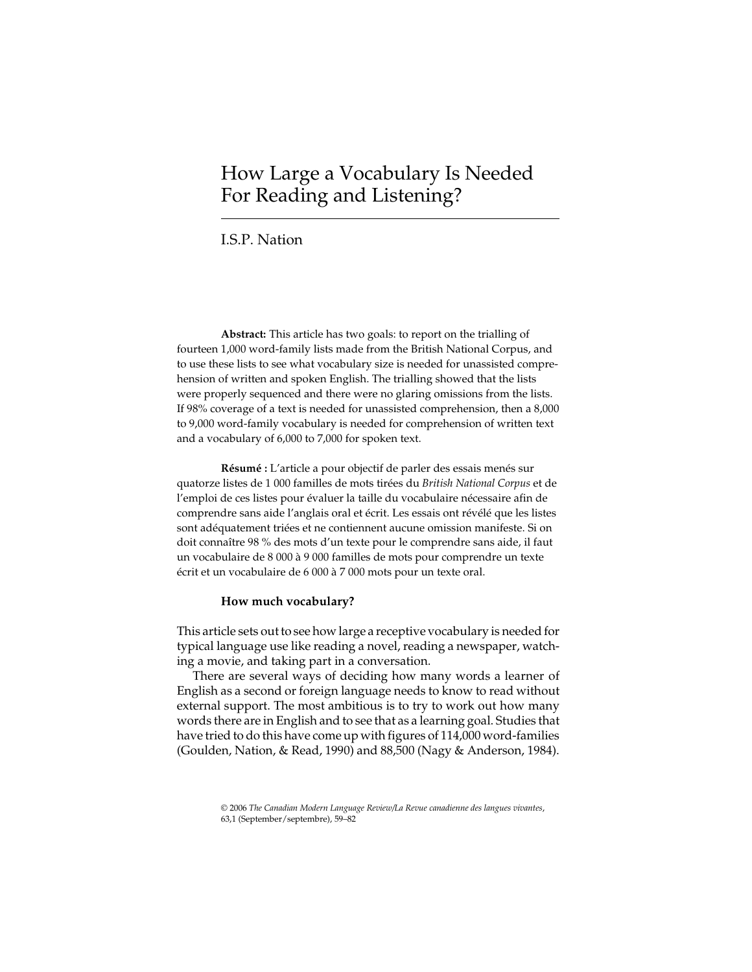# How Large a Vocabulary Is Needed For Reading and Listening?

I.S.P. Nation

**Abstract:** This article has two goals: to report on the trialling of fourteen 1,000 word-family lists made from the British National Corpus, and to use these lists to see what vocabulary size is needed for unassisted comprehension of written and spoken English. The trialling showed that the lists were properly sequenced and there were no glaring omissions from the lists. If 98% coverage of a text is needed for unassisted comprehension, then a 8,000 to 9,000 word-family vocabulary is needed for comprehension of written text and a vocabulary of 6,000 to 7,000 for spoken text.

**Résumé :** L'article a pour objectif de parler des essais menés sur quatorze listes de 1 000 familles de mots tirées du *British National Corpus* et de l'emploi de ces listes pour évaluer la taille du vocabulaire nécessaire afin de comprendre sans aide l'anglais oral et écrit. Les essais ont révélé que les listes sont adéquatement triées et ne contiennent aucune omission manifeste. Si on doit connaître 98 % des mots d'un texte pour le comprendre sans aide, il faut un vocabulaire de 8 000 à 9 000 familles de mots pour comprendre un texte écrit et un vocabulaire de 6 000 à 7 000 mots pour un texte oral.

#### **How much vocabulary?**

This article sets out to see how large a receptive vocabulary is needed for typical language use like reading a novel, reading a newspaper, watching a movie, and taking part in a conversation.

There are several ways of deciding how many words a learner of English as a second or foreign language needs to know to read without external support. The most ambitious is to try to work out how many words there are in English and to see that as a learning goal. Studies that have tried to do this have come up with figures of 114,000 word-families (Goulden, Nation, & Read, 1990) and 88,500 (Nagy & Anderson, 1984).

<sup>© 2006</sup> *The Canadian Modern Language Review/La Revue canadienne des langues vivantes*, 63,1 (September/septembre), 59–82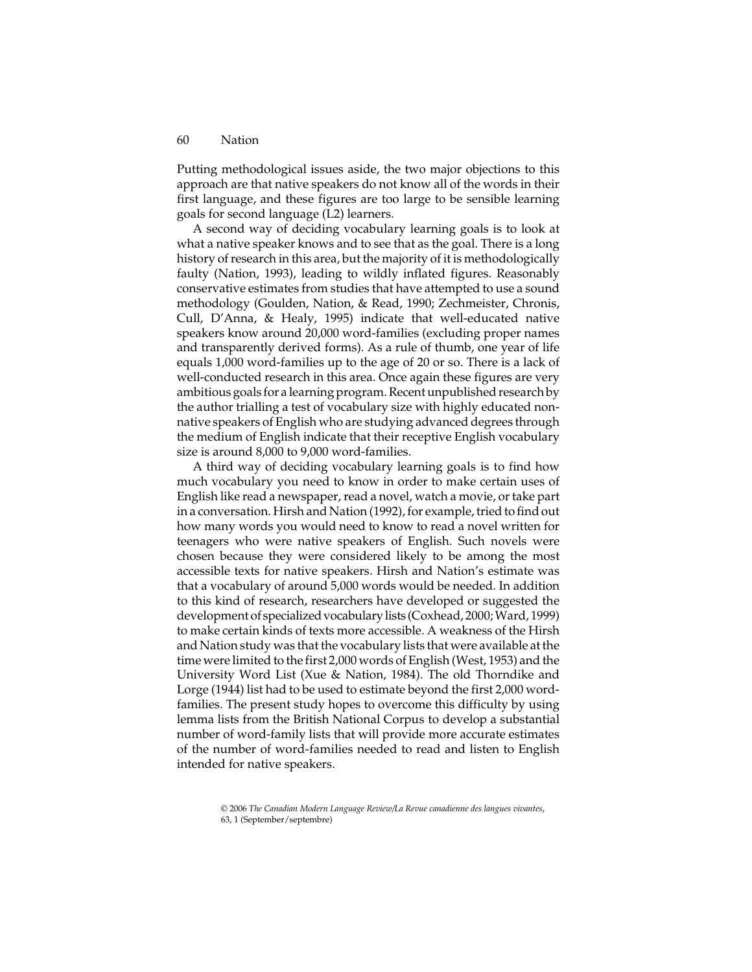Putting methodological issues aside, the two major objections to this approach are that native speakers do not know all of the words in their first language, and these figures are too large to be sensible learning goals for second language (L2) learners.

A second way of deciding vocabulary learning goals is to look at what a native speaker knows and to see that as the goal. There is a long history of research in this area, but the majority of it is methodologically faulty (Nation, 1993), leading to wildly inflated figures. Reasonably conservative estimates from studies that have attempted to use a sound methodology (Goulden, Nation, & Read, 1990; Zechmeister, Chronis, Cull, D'Anna, & Healy, 1995) indicate that well-educated native speakers know around 20,000 word-families (excluding proper names and transparently derived forms). As a rule of thumb, one year of life equals 1,000 word-families up to the age of 20 or so. There is a lack of well-conducted research in this area. Once again these figures are very ambitious goals for a learning program. Recent unpublished research by the author trialling a test of vocabulary size with highly educated nonnative speakers of English who are studying advanced degrees through the medium of English indicate that their receptive English vocabulary size is around 8,000 to 9,000 word-families.

A third way of deciding vocabulary learning goals is to find how much vocabulary you need to know in order to make certain uses of English like read a newspaper, read a novel, watch a movie, or take part in a conversation. Hirsh and Nation (1992), for example, tried to find out how many words you would need to know to read a novel written for teenagers who were native speakers of English. Such novels were chosen because they were considered likely to be among the most accessible texts for native speakers. Hirsh and Nation's estimate was that a vocabulary of around 5,000 words would be needed. In addition to this kind of research, researchers have developed or suggested the development of specialized vocabulary lists (Coxhead, 2000; Ward, 1999) to make certain kinds of texts more accessible. A weakness of the Hirsh and Nation study was that the vocabulary lists that were available at the time were limited to the first 2,000 words of English (West, 1953) and the University Word List (Xue & Nation, 1984). The old Thorndike and Lorge (1944) list had to be used to estimate beyond the first 2,000 wordfamilies. The present study hopes to overcome this difficulty by using lemma lists from the British National Corpus to develop a substantial number of word-family lists that will provide more accurate estimates of the number of word-families needed to read and listen to English intended for native speakers.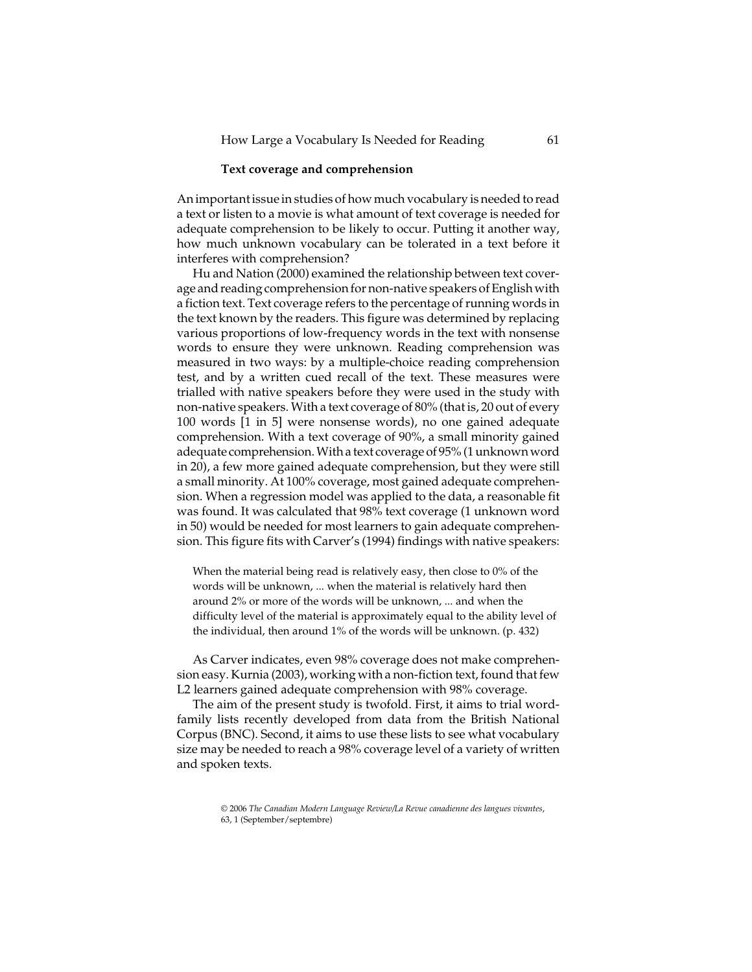# **Text coverage and comprehension**

An important issue in studies of how much vocabulary is needed to read a text or listen to a movie is what amount of text coverage is needed for adequate comprehension to be likely to occur. Putting it another way, how much unknown vocabulary can be tolerated in a text before it interferes with comprehension?

Hu and Nation (2000) examined the relationship between text coverage and reading comprehension for non-native speakers of English with a fiction text. Text coverage refers to the percentage of running words in the text known by the readers. This figure was determined by replacing various proportions of low-frequency words in the text with nonsense words to ensure they were unknown. Reading comprehension was measured in two ways: by a multiple-choice reading comprehension test, and by a written cued recall of the text. These measures were trialled with native speakers before they were used in the study with non-native speakers. With a text coverage of 80% (that is, 20 out of every 100 words [1 in 5] were nonsense words), no one gained adequate comprehension. With a text coverage of 90%, a small minority gained adequate comprehension. With a text coverage of 95% (1 unknown word in 20), a few more gained adequate comprehension, but they were still a small minority. At 100% coverage, most gained adequate comprehension. When a regression model was applied to the data, a reasonable fit was found. It was calculated that 98% text coverage (1 unknown word in 50) would be needed for most learners to gain adequate comprehension. This figure fits with Carver's (1994) findings with native speakers:

When the material being read is relatively easy, then close to 0% of the words will be unknown, ... when the material is relatively hard then around 2% or more of the words will be unknown, ... and when the difficulty level of the material is approximately equal to the ability level of the individual, then around 1% of the words will be unknown. (p. 432)

As Carver indicates, even 98% coverage does not make comprehension easy. Kurnia (2003), working with a non-fiction text, found that few L2 learners gained adequate comprehension with 98% coverage.

The aim of the present study is twofold. First, it aims to trial wordfamily lists recently developed from data from the British National Corpus (BNC). Second, it aims to use these lists to see what vocabulary size may be needed to reach a 98% coverage level of a variety of written and spoken texts.

<sup>© 2006</sup> *The Canadian Modern Language Review/La Revue canadienne des langues vivantes*, 63, 1 (September/septembre)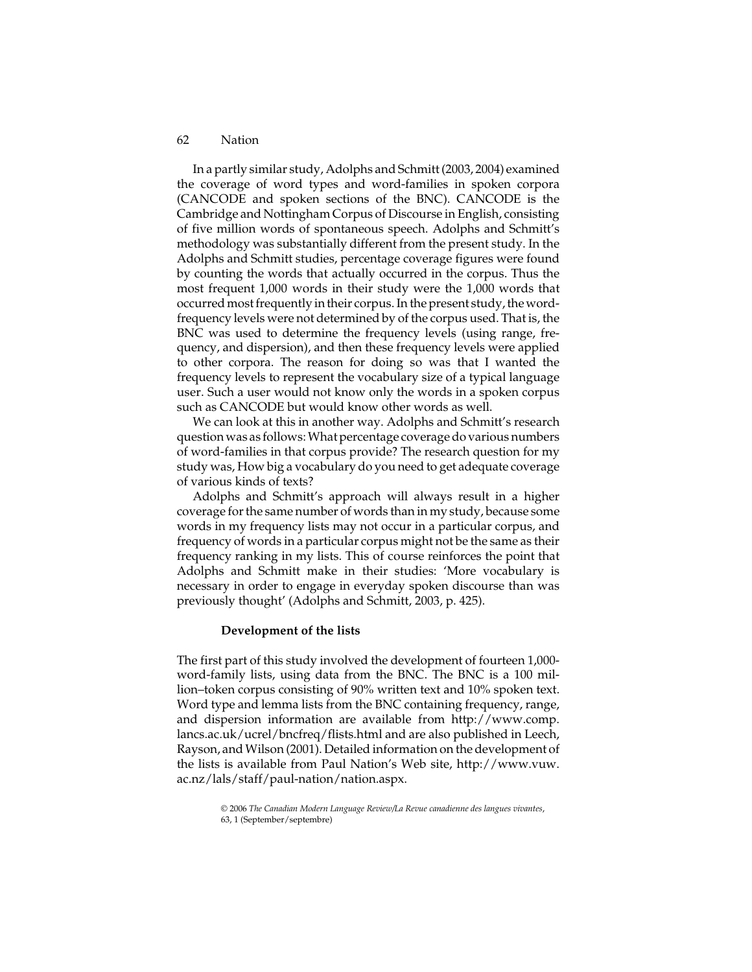In a partly similar study, Adolphs and Schmitt (2003, 2004) examined the coverage of word types and word-families in spoken corpora (CANCODE and spoken sections of the BNC). CANCODE is the Cambridge and Nottingham Corpus of Discourse in English, consisting of five million words of spontaneous speech. Adolphs and Schmitt's methodology was substantially different from the present study. In the Adolphs and Schmitt studies, percentage coverage figures were found by counting the words that actually occurred in the corpus. Thus the most frequent 1,000 words in their study were the 1,000 words that occurred most frequently in their corpus. In the present study, the wordfrequency levels were not determined by of the corpus used. That is, the BNC was used to determine the frequency levels (using range, frequency, and dispersion), and then these frequency levels were applied to other corpora. The reason for doing so was that I wanted the frequency levels to represent the vocabulary size of a typical language user. Such a user would not know only the words in a spoken corpus such as CANCODE but would know other words as well.

We can look at this in another way. Adolphs and Schmitt's research question was as follows: What percentage coverage do various numbers of word-families in that corpus provide? The research question for my study was, How big a vocabulary do you need to get adequate coverage of various kinds of texts?

Adolphs and Schmitt's approach will always result in a higher coverage for the same number of words than in my study, because some words in my frequency lists may not occur in a particular corpus, and frequency of words in a particular corpus might not be the same as their frequency ranking in my lists. This of course reinforces the point that Adolphs and Schmitt make in their studies: 'More vocabulary is necessary in order to engage in everyday spoken discourse than was previously thought' (Adolphs and Schmitt, 2003, p. 425).

#### **Development of the lists**

The first part of this study involved the development of fourteen 1,000 word-family lists, using data from the BNC. The BNC is a 100 million–token corpus consisting of 90% written text and 10% spoken text. Word type and lemma lists from the BNC containing frequency, range, and dispersion information are available from http://www.comp. lancs.ac.uk/ucrel/bncfreq/flists.html and are also published in Leech, Rayson, and Wilson (2001). Detailed information on the development of the lists is available from Paul Nation's Web site, http://www.vuw. ac.nz/lals/staff/paul-nation/nation.aspx.

<sup>© 2006</sup> *The Canadian Modern Language Review/La Revue canadienne des langues vivantes*, 63, 1 (September/septembre)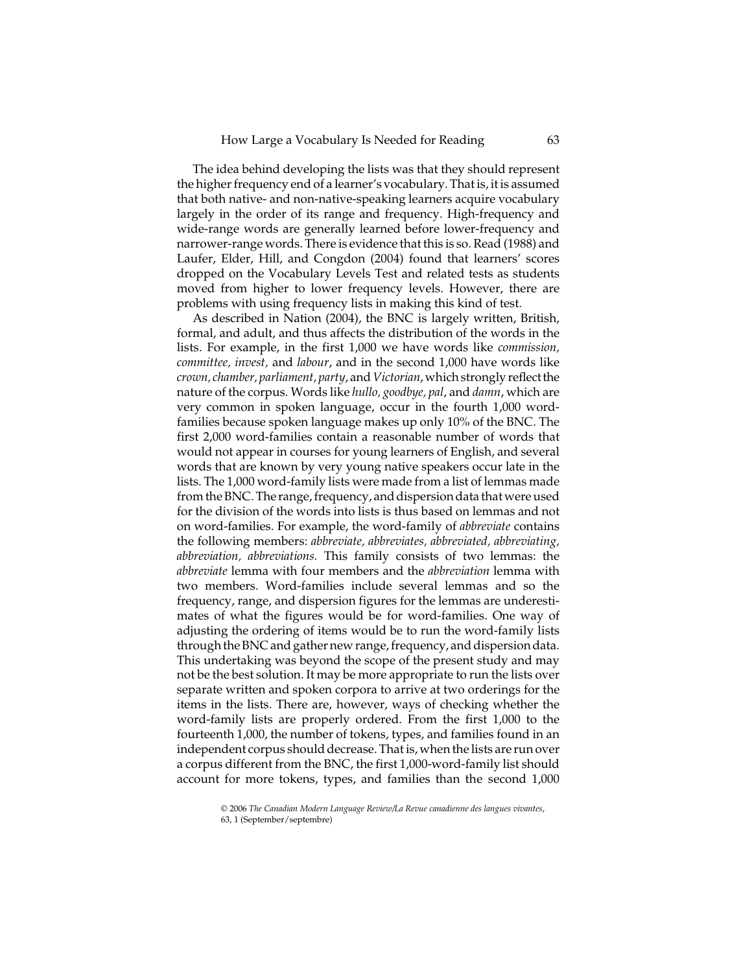The idea behind developing the lists was that they should represent the higher frequency end of a learner's vocabulary. That is, it is assumed that both native- and non-native-speaking learners acquire vocabulary largely in the order of its range and frequency. High-frequency and wide-range words are generally learned before lower-frequency and narrower-range words. There is evidence that this is so. Read (1988) and Laufer, Elder, Hill, and Congdon (2004) found that learners' scores dropped on the Vocabulary Levels Test and related tests as students moved from higher to lower frequency levels. However, there are problems with using frequency lists in making this kind of test.

As described in Nation (2004), the BNC is largely written, British, formal, and adult, and thus affects the distribution of the words in the lists. For example, in the first 1,000 we have words like *commission, committee, invest,* and *labour*, and in the second 1,000 have words like *crown, chamber, parliament, party*, and *Victorian*, which strongly reflect the nature of the corpus. Words like *hullo, goodbye, pal*, and *damn*, which are very common in spoken language, occur in the fourth 1,000 wordfamilies because spoken language makes up only 10% of the BNC. The first 2,000 word-families contain a reasonable number of words that would not appear in courses for young learners of English, and several words that are known by very young native speakers occur late in the lists. The 1,000 word-family lists were made from a list of lemmas made from the BNC. The range, frequency, and dispersion data that were used for the division of the words into lists is thus based on lemmas and not on word-families. For example, the word-family of *abbreviate* contains the following members: *abbreviate, abbreviates, abbreviated, abbreviating, abbreviation, abbreviations.* This family consists of two lemmas: the *abbreviate* lemma with four members and the *abbreviation* lemma with two members. Word-families include several lemmas and so the frequency, range, and dispersion figures for the lemmas are underestimates of what the figures would be for word-families. One way of adjusting the ordering of items would be to run the word-family lists through the BNC and gather new range, frequency, and dispersion data. This undertaking was beyond the scope of the present study and may not be the best solution. It may be more appropriate to run the lists over separate written and spoken corpora to arrive at two orderings for the items in the lists. There are, however, ways of checking whether the word-family lists are properly ordered. From the first 1,000 to the fourteenth 1,000, the number of tokens, types, and families found in an independent corpus should decrease. That is, when the lists are run over a corpus different from the BNC, the first 1,000-word-family list should account for more tokens, types, and families than the second 1,000

<sup>© 2006</sup> *The Canadian Modern Language Review/La Revue canadienne des langues vivantes*, 63, 1 (September/septembre)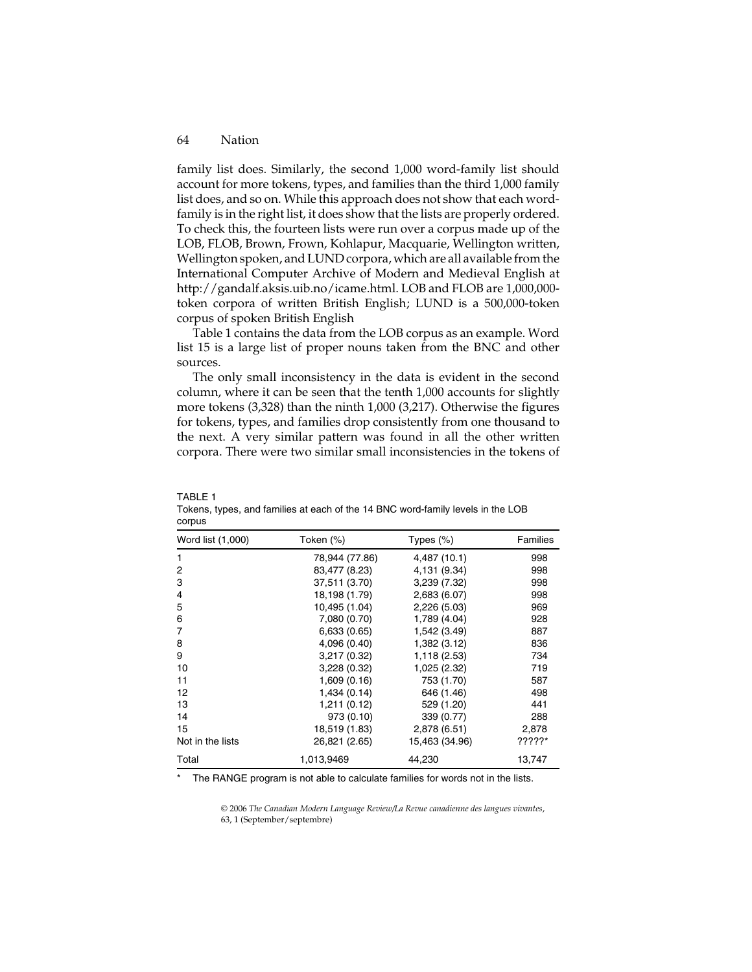TABLE 1

family list does. Similarly, the second 1,000 word-family list should account for more tokens, types, and families than the third 1,000 family list does, and so on. While this approach does not show that each wordfamily is in the right list, it does show that the lists are properly ordered. To check this, the fourteen lists were run over a corpus made up of the LOB, FLOB, Brown, Frown, Kohlapur, Macquarie, Wellington written, Wellington spoken, and LUND corpora, which are all available from the International Computer Archive of Modern and Medieval English at http://gandalf.aksis.uib.no/icame.html. LOB and FLOB are 1,000,000 token corpora of written British English; LUND is a 500,000-token corpus of spoken British English

Table 1 contains the data from the LOB corpus as an example. Word list 15 is a large list of proper nouns taken from the BNC and other sources.

The only small inconsistency in the data is evident in the second column, where it can be seen that the tenth 1,000 accounts for slightly more tokens (3,328) than the ninth 1,000 (3,217). Otherwise the figures for tokens, types, and families drop consistently from one thousand to the next. A very similar pattern was found in all the other written corpora. There were two similar small inconsistencies in the tokens of

| -------           |                |                |                 |
|-------------------|----------------|----------------|-----------------|
| Word list (1,000) | Token (%)      | Types (%)      | <b>Families</b> |
| 1                 | 78,944 (77.86) | 4,487 (10.1)   | 998             |
| 2                 | 83,477 (8.23)  | 4,131 (9.34)   | 998             |
| 3                 | 37,511 (3.70)  | 3,239 (7.32)   | 998             |
| 4                 | 18,198 (1.79)  | 2,683 (6.07)   | 998             |
| 5                 | 10,495 (1.04)  | 2,226 (5.03)   | 969             |
| 6                 | 7,080 (0.70)   | 1,789 (4.04)   | 928             |
| 7                 | 6,633(0.65)    | 1,542 (3.49)   | 887             |
| 8                 | 4,096 (0.40)   | 1,382 (3.12)   | 836             |
| 9                 | 3,217 (0.32)   | 1,118 (2.53)   | 734             |
| 10                | 3,228 (0.32)   | 1,025 (2.32)   | 719             |
| 11                | 1,609(0.16)    | 753 (1.70)     | 587             |
| 12                | 1,434 (0.14)   | 646 (1.46)     | 498             |
| 13                | 1,211 (0.12)   | 529 (1.20)     | 441             |
| 14                | 973 (0.10)     | 339 (0.77)     | 288             |
| 15                | 18,519 (1.83)  | 2,878 (6.51)   | 2,878           |
| Not in the lists  | 26,821 (2.65)  | 15,463 (34.96) | ??????          |
| Total             | 1,013,9469     | 44,230         | 13,747          |

|        |  |  |  | Tokens, types, and families at each of the 14 BNC word-family levels in the LOB |  |
|--------|--|--|--|---------------------------------------------------------------------------------|--|
| corpus |  |  |  |                                                                                 |  |

The RANGE program is not able to calculate families for words not in the lists.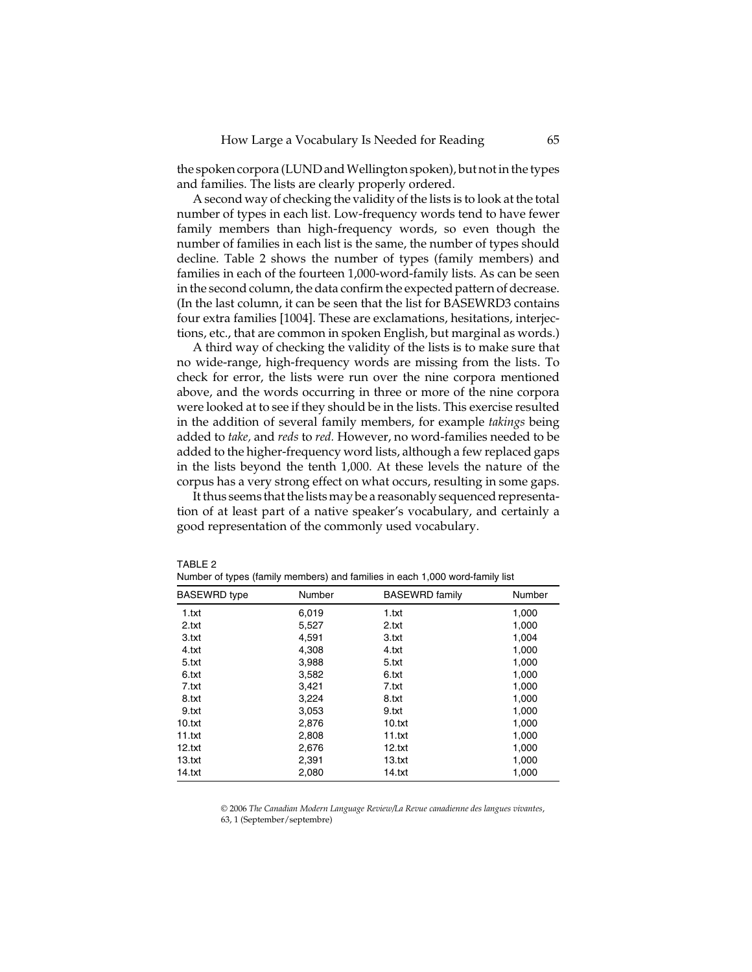the spoken corpora (LUND and Wellington spoken), but not in the types and families. The lists are clearly properly ordered.

A second way of checking the validity of the lists is to look at the total number of types in each list. Low-frequency words tend to have fewer family members than high-frequency words, so even though the number of families in each list is the same, the number of types should decline. Table 2 shows the number of types (family members) and families in each of the fourteen 1,000-word-family lists. As can be seen in the second column, the data confirm the expected pattern of decrease. (In the last column, it can be seen that the list for BASEWRD3 contains four extra families [1004]. These are exclamations, hesitations, interjections, etc., that are common in spoken English, but marginal as words.)

A third way of checking the validity of the lists is to make sure that no wide-range, high-frequency words are missing from the lists. To check for error, the lists were run over the nine corpora mentioned above, and the words occurring in three or more of the nine corpora were looked at to see if they should be in the lists. This exercise resulted in the addition of several family members, for example *takings* being added to *take,* and *reds* to *red.* However, no word-families needed to be added to the higher-frequency word lists, although a few replaced gaps in the lists beyond the tenth 1,000. At these levels the nature of the corpus has a very strong effect on what occurs, resulting in some gaps.

It thus seems that the lists may be a reasonably sequenced representation of at least part of a native speaker's vocabulary, and certainly a good representation of the commonly used vocabulary.

| <b>BASEWRD</b> type | Number | <b>BASEWRD</b> family | Number |  |
|---------------------|--------|-----------------------|--------|--|
| 1.txt               | 6,019  | 1.txt                 | 1,000  |  |
| 2.txt               | 5,527  | 2.txt                 | 1,000  |  |
| 3.txt               | 4,591  | 3.txt                 | 1,004  |  |
| 4.txt               | 4,308  | 4.txt                 | 1,000  |  |
| 5.txt               | 3,988  | 5.txt                 | 1,000  |  |
| 6.txt               | 3,582  | 6.txt                 | 1,000  |  |
| 7.txt               | 3,421  | 7.txt                 | 1,000  |  |
| 8.txt               | 3,224  | 8.txt                 | 1,000  |  |
| 9.txt               | 3,053  | 9.txt                 | 1,000  |  |
| 10.txt              | 2,876  | 10.txt                | 1,000  |  |
| 11.txt              | 2,808  | 11.txt                | 1,000  |  |
| 12.txt              | 2,676  | 12.txt                | 1,000  |  |
| 13.txt              | 2,391  | 13.txt                | 1,000  |  |
| 14.txt              | 2,080  | 14.txt                | 1,000  |  |

Number of types (family members) and families in each 1,000 word-family list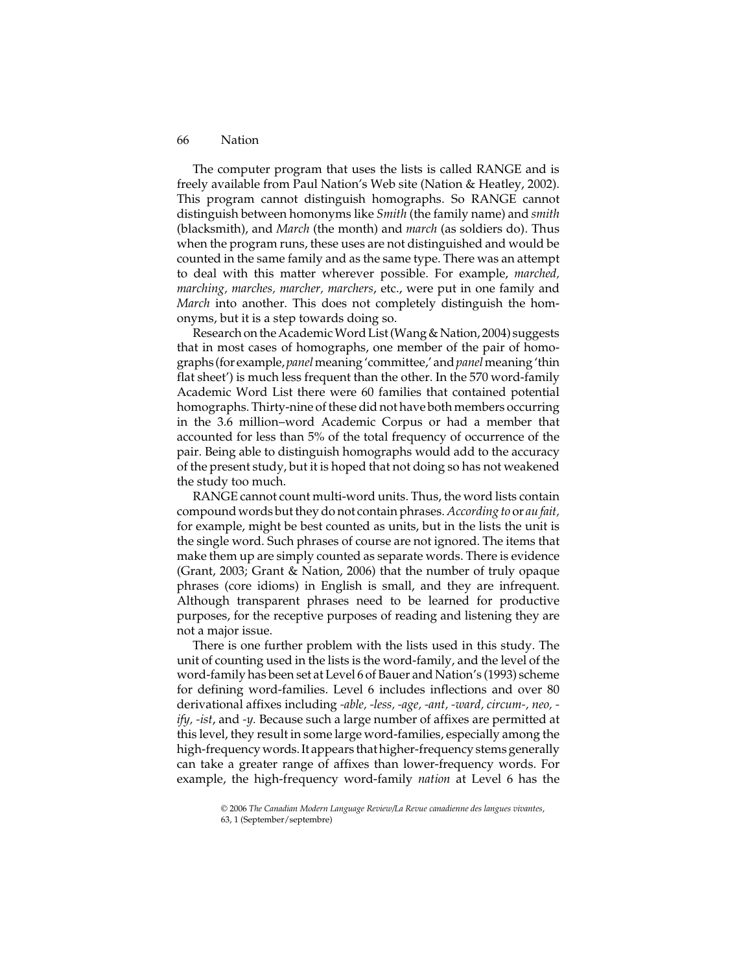The computer program that uses the lists is called RANGE and is freely available from Paul Nation's Web site (Nation & Heatley, 2002). This program cannot distinguish homographs. So RANGE cannot distinguish between homonyms like *Smith* (the family name) and *smith* (blacksmith), and *March* (the month) and *march* (as soldiers do). Thus when the program runs, these uses are not distinguished and would be counted in the same family and as the same type. There was an attempt to deal with this matter wherever possible. For example, *marched, marching, marches, marcher, marchers*, etc., were put in one family and *March* into another. This does not completely distinguish the homonyms, but it is a step towards doing so.

Research on the Academic Word List (Wang & Nation, 2004) suggests that in most cases of homographs, one member of the pair of homographs (for example, *panel* meaning 'committee,' and *panel* meaning 'thin flat sheet') is much less frequent than the other. In the 570 word-family Academic Word List there were 60 families that contained potential homographs. Thirty-nine of these did not have both members occurring in the 3.6 million–word Academic Corpus or had a member that accounted for less than 5% of the total frequency of occurrence of the pair. Being able to distinguish homographs would add to the accuracy of the present study, but it is hoped that not doing so has not weakened the study too much.

RANGE cannot count multi-word units. Thus, the word lists contain compound words but they do not contain phrases. *According to* or *au fait,* for example, might be best counted as units, but in the lists the unit is the single word. Such phrases of course are not ignored. The items that make them up are simply counted as separate words. There is evidence (Grant, 2003; Grant & Nation, 2006) that the number of truly opaque phrases (core idioms) in English is small, and they are infrequent. Although transparent phrases need to be learned for productive purposes, for the receptive purposes of reading and listening they are not a major issue.

There is one further problem with the lists used in this study. The unit of counting used in the lists is the word-family, and the level of the word-family has been set at Level 6 of Bauer and Nation's (1993) scheme for defining word-families. Level 6 includes inflections and over 80 derivational affixes including *-able, -less, -age, -ant, -ward, circum-, neo, ify, -ist*, and *-y.* Because such a large number of affixes are permitted at this level, they result in some large word-families, especially among the high-frequency words. It appears that higher-frequency stems generally can take a greater range of affixes than lower-frequency words. For example, the high-frequency word-family *nation* at Level 6 has the

<sup>© 2006</sup> *The Canadian Modern Language Review/La Revue canadienne des langues vivantes*, 63, 1 (September/septembre)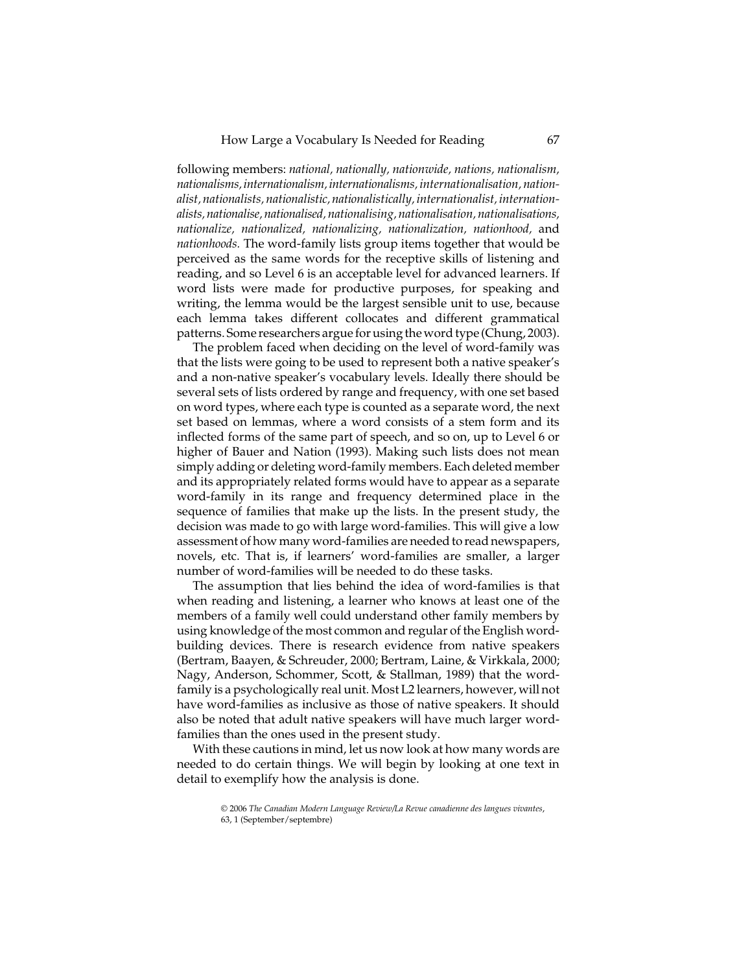following members: *national, nationally, nationwide, nations, nationalism, nationalisms, internationalism, internationalisms, internationalisation, nationalist, nationalists, nationalistic, nationalistically, internationalist, internationalists, nationalise, nationalised, nationalising, nationalisation, nationalisations, nationalize, nationalized, nationalizing, nationalization, nationhood,* and *nationhoods.* The word-family lists group items together that would be perceived as the same words for the receptive skills of listening and reading, and so Level 6 is an acceptable level for advanced learners. If word lists were made for productive purposes, for speaking and writing, the lemma would be the largest sensible unit to use, because each lemma takes different collocates and different grammatical patterns. Some researchers argue for using the word type (Chung, 2003).

The problem faced when deciding on the level of word-family was that the lists were going to be used to represent both a native speaker's and a non-native speaker's vocabulary levels. Ideally there should be several sets of lists ordered by range and frequency, with one set based on word types, where each type is counted as a separate word, the next set based on lemmas, where a word consists of a stem form and its inflected forms of the same part of speech, and so on, up to Level 6 or higher of Bauer and Nation (1993). Making such lists does not mean simply adding or deleting word-family members. Each deleted member and its appropriately related forms would have to appear as a separate word-family in its range and frequency determined place in the sequence of families that make up the lists. In the present study, the decision was made to go with large word-families. This will give a low assessment of how many word-families are needed to read newspapers, novels, etc. That is, if learners' word-families are smaller, a larger number of word-families will be needed to do these tasks.

The assumption that lies behind the idea of word-families is that when reading and listening, a learner who knows at least one of the members of a family well could understand other family members by using knowledge of the most common and regular of the English wordbuilding devices. There is research evidence from native speakers (Bertram, Baayen, & Schreuder, 2000; Bertram, Laine, & Virkkala, 2000; Nagy, Anderson, Schommer, Scott, & Stallman, 1989) that the wordfamily is a psychologically real unit. Most L2 learners, however, will not have word-families as inclusive as those of native speakers. It should also be noted that adult native speakers will have much larger wordfamilies than the ones used in the present study.

With these cautions in mind, let us now look at how many words are needed to do certain things. We will begin by looking at one text in detail to exemplify how the analysis is done.

<sup>© 2006</sup> *The Canadian Modern Language Review/La Revue canadienne des langues vivantes*, 63, 1 (September/septembre)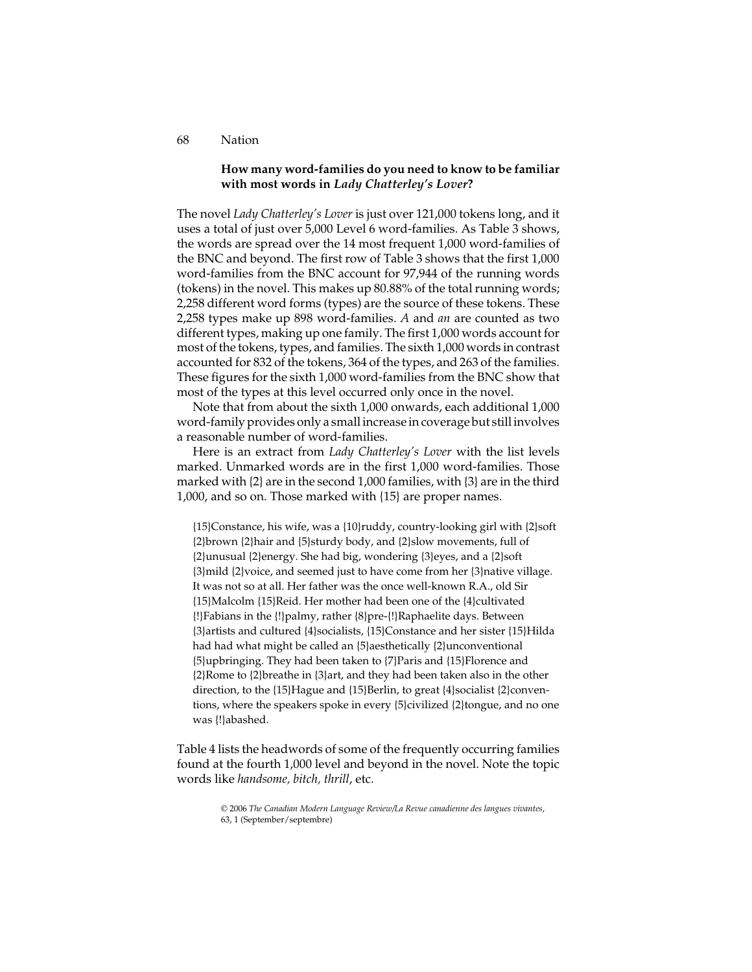# **How many word-families do you need to know to be familiar with most words in** *Lady Chatterley's Lover***?**

The novel *Lady Chatterley's Lover* is just over 121,000 tokens long, and it uses a total of just over 5,000 Level 6 word-families. As Table 3 shows, the words are spread over the 14 most frequent 1,000 word-families of the BNC and beyond. The first row of Table 3 shows that the first 1,000 word-families from the BNC account for 97,944 of the running words (tokens) in the novel. This makes up 80.88% of the total running words; 2,258 different word forms (types) are the source of these tokens. These 2,258 types make up 898 word-families. *A* and *an* are counted as two different types, making up one family. The first 1,000 words account for most of the tokens, types, and families. The sixth 1,000 words in contrast accounted for 832 of the tokens, 364 of the types, and 263 of the families. These figures for the sixth 1,000 word-families from the BNC show that most of the types at this level occurred only once in the novel.

Note that from about the sixth 1,000 onwards, each additional 1,000 word-family provides only a small increase in coverage but still involves a reasonable number of word-families.

Here is an extract from *Lady Chatterley's Lover* with the list levels marked. Unmarked words are in the first 1,000 word-families. Those marked with {2} are in the second 1,000 families, with {3} are in the third 1,000, and so on. Those marked with {15} are proper names.

{15}Constance, his wife, was a {10}ruddy, country-looking girl with {2}soft {2}brown {2}hair and {5}sturdy body, and {2}slow movements, full of {2}unusual {2}energy. She had big, wondering {3}eyes, and a {2}soft {3}mild {2}voice, and seemed just to have come from her {3}native village. It was not so at all. Her father was the once well-known R.A., old Sir {15}Malcolm {15}Reid. Her mother had been one of the {4}cultivated {!}Fabians in the {!}palmy, rather {8}pre-{!}Raphaelite days. Between {3}artists and cultured {4}socialists, {15}Constance and her sister {15}Hilda had had what might be called an {5}aesthetically {2}unconventional {5}upbringing. They had been taken to {7}Paris and {15}Florence and {2}Rome to {2}breathe in {3}art, and they had been taken also in the other direction, to the  ${15}$ Hague and  ${15}$ Berlin, to great  ${4}$ socialist  ${2}$ conventions, where the speakers spoke in every {5}civilized {2}tongue, and no one was {!}abashed.

Table 4 lists the headwords of some of the frequently occurring families found at the fourth 1,000 level and beyond in the novel. Note the topic words like *handsome, bitch, thrill*, etc.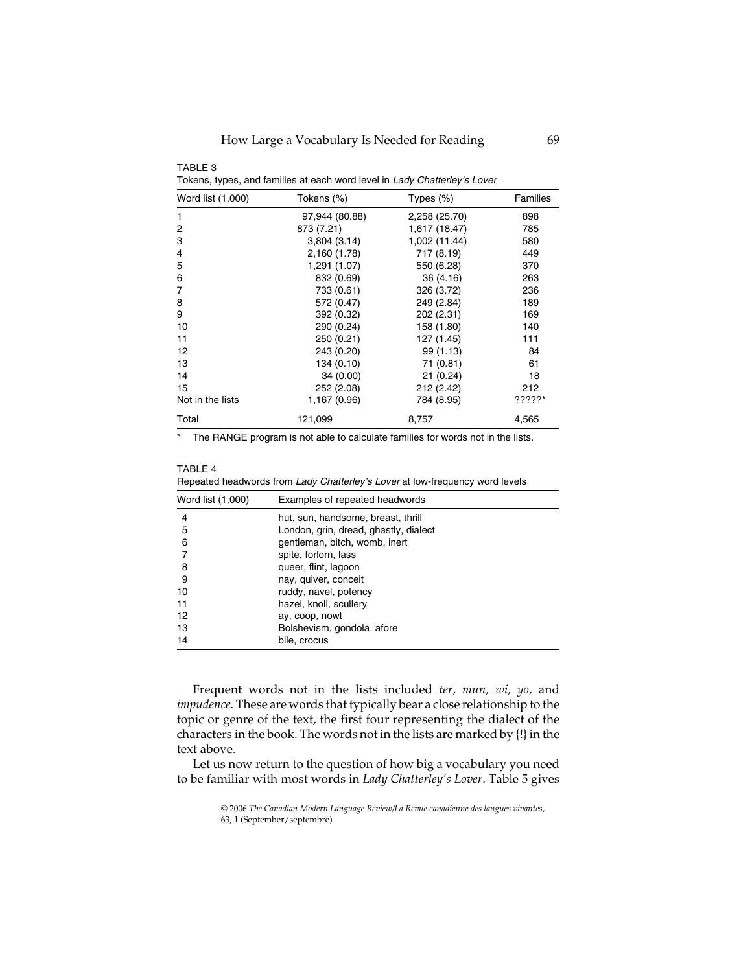| TURCHS, types, and lamines at each word level in <i>Lady Unationey's Lover</i> |                |               |                 |  |  |  |
|--------------------------------------------------------------------------------|----------------|---------------|-----------------|--|--|--|
| Word list (1,000)                                                              | Tokens (%)     | Types $(\%)$  | <b>Families</b> |  |  |  |
| 1                                                                              | 97,944 (80.88) | 2,258 (25.70) | 898             |  |  |  |
| 2                                                                              | 873 (7.21)     | 1,617 (18.47) | 785             |  |  |  |
| 3                                                                              | 3,804(3.14)    | 1,002 (11.44) | 580             |  |  |  |
| 4                                                                              | 2,160 (1.78)   | 717 (8.19)    | 449             |  |  |  |
| 5                                                                              | 1,291 (1.07)   | 550 (6.28)    | 370             |  |  |  |
| 6                                                                              | 832 (0.69)     | 36(4.16)      | 263             |  |  |  |
| 7                                                                              | 733 (0.61)     | 326 (3.72)    | 236             |  |  |  |
| 8                                                                              | 572 (0.47)     | 249 (2.84)    | 189             |  |  |  |
| 9                                                                              | 392 (0.32)     | 202 (2.31)    | 169             |  |  |  |
| 10                                                                             | 290 (0.24)     | 158 (1.80)    | 140             |  |  |  |
| 11                                                                             | 250 (0.21)     | 127 (1.45)    | 111             |  |  |  |
| 12                                                                             | 243 (0.20)     | 99(1.13)      | 84              |  |  |  |
| 13                                                                             | 134 (0.10)     | 71 (0.81)     | 61              |  |  |  |
| 14                                                                             | 34(0.00)       | 21(0.24)      | 18              |  |  |  |
| 15                                                                             | 252 (2.08)     | 212 (2.42)    | 212             |  |  |  |
| Not in the lists                                                               | 1,167 (0.96)   | 784 (8.95)    | ??????          |  |  |  |
| Total                                                                          | 121,099        | 8.757         | 4,565           |  |  |  |

TABLE 3 Tokens, types, and families at each word level in *Lady Chatterley's Lover*

\* The RANGE program is not able to calculate families for words not in the lists.

| TABLE 4                                                                      |
|------------------------------------------------------------------------------|
| Repeated headwords from Lady Chatterley's Lover at low-frequency word levels |

| Word list (1,000) | Examples of repeated headwords        |
|-------------------|---------------------------------------|
|                   | hut, sun, handsome, breast, thrill    |
| 5                 | London, grin, dread, ghastly, dialect |
| 6                 | gentleman, bitch, womb, inert         |
|                   | spite, forlorn, lass                  |
| 8                 | queer, flint, lagoon                  |
| 9                 | nay, quiver, conceit                  |
| 10                | ruddy, navel, potency                 |
| 11                | hazel, knoll, scullery                |
| 12                | ay, coop, nowt                        |
| 13                | Bolshevism, gondola, afore            |
| 14                | bile, crocus                          |

Frequent words not in the lists included *ter, mun, wi, yo,* and *impudence.* These are words that typically bear a close relationship to the topic or genre of the text, the first four representing the dialect of the characters in the book. The words not in the lists are marked by {!} in the text above.

Let us now return to the question of how big a vocabulary you need to be familiar with most words in *Lady Chatterley's Lover*. Table 5 gives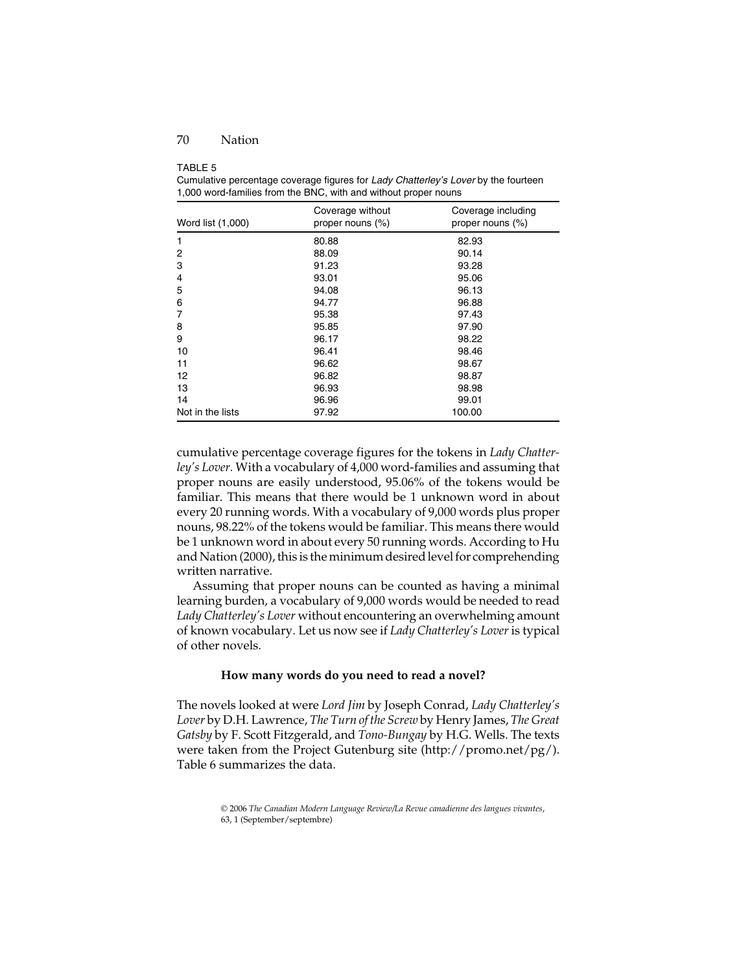# TABLE 5

| Cumulative percentage coverage figures for Lady Chatterley's Lover by the fourteen |
|------------------------------------------------------------------------------------|
| 1,000 word-families from the BNC, with and without proper nouns                    |

| Word list (1,000) | Coverage without<br>proper nouns (%) | Coverage including<br>proper nouns (%) |  |  |
|-------------------|--------------------------------------|----------------------------------------|--|--|
| 1                 | 80.88                                | 82.93                                  |  |  |
| $\overline{2}$    | 88.09                                | 90.14                                  |  |  |
| 3                 | 91.23                                | 93.28                                  |  |  |
| 4                 | 93.01                                | 95.06                                  |  |  |
| 5                 | 94.08                                | 96.13                                  |  |  |
| 6                 | 94.77                                | 96.88                                  |  |  |
| 7                 | 95.38                                | 97.43                                  |  |  |
| 8                 | 95.85                                | 97.90                                  |  |  |
| 9                 | 96.17                                | 98.22                                  |  |  |
| 10                | 96.41                                | 98.46                                  |  |  |
| 11                | 96.62                                | 98.67                                  |  |  |
| 12                | 96.82                                | 98.87                                  |  |  |
| 13                | 96.93                                | 98.98                                  |  |  |
| 14                | 96.96                                | 99.01                                  |  |  |
| Not in the lists  | 97.92                                | 100.00                                 |  |  |

cumulative percentage coverage figures for the tokens in *Lady Chatterley's Lover.* With a vocabulary of 4,000 word-families and assuming that proper nouns are easily understood, 95.06% of the tokens would be familiar. This means that there would be 1 unknown word in about every 20 running words. With a vocabulary of 9,000 words plus proper nouns, 98.22% of the tokens would be familiar. This means there would be 1 unknown word in about every 50 running words. According to Hu and Nation (2000), this is the minimum desired level for comprehending written narrative.

Assuming that proper nouns can be counted as having a minimal learning burden, a vocabulary of 9,000 words would be needed to read *Lady Chatterley's Lover* without encountering an overwhelming amount of known vocabulary. Let us now see if *Lady Chatterley's Lover* is typical of other novels.

#### **How many words do you need to read a novel?**

The novels looked at were *Lord Jim* by Joseph Conrad, *Lady Chatterley's Lover* by D.H. Lawrence, *The Turn of the Screw* by Henry James, *The Great Gatsby* by F. Scott Fitzgerald, and *Tono-Bungay* by H.G. Wells. The texts were taken from the Project Gutenburg site (http://promo.net/pg/). Table 6 summarizes the data.

<sup>© 2006</sup> *The Canadian Modern Language Review/La Revue canadienne des langues vivantes*, 63, 1 (September/septembre)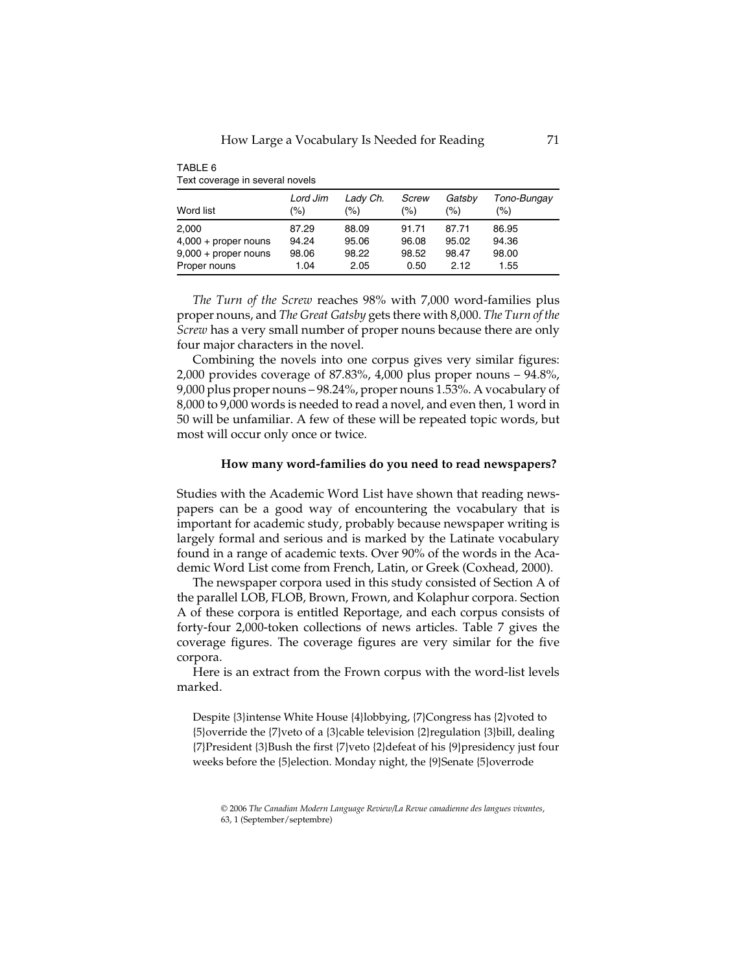| TABLE 6                         |  |
|---------------------------------|--|
| Text coverage in several novels |  |

| Word list              | Lord Jim<br>(%) | Lady Ch.<br>(%) | Screw<br>(%) | Gatsby<br>(%) | Tono-Bungay<br>(%) |
|------------------------|-----------------|-----------------|--------------|---------------|--------------------|
| 2.000                  | 87.29           | 88.09           | 91.71        | 87.71         | 86.95              |
| $4,000 +$ proper nouns | 94.24           | 95.06           | 96.08        | 95.02         | 94.36              |
| $9,000 +$ proper nouns | 98.06           | 98.22           | 98.52        | 98.47         | 98.00              |
| Proper nouns           | 1.04            | 2.05            | 0.50         | 2.12          | 1.55               |

*The Turn of the Screw* reaches 98% with 7,000 word-families plus proper nouns, and *The Great Gatsby* gets there with 8,000. *The Turn of the Screw* has a very small number of proper nouns because there are only four major characters in the novel.

Combining the novels into one corpus gives very similar figures: 2,000 provides coverage of 87.83%, 4,000 plus proper nouns – 94.8%, 9,000 plus proper nouns – 98.24%, proper nouns 1.53%. A vocabulary of 8,000 to 9,000 words is needed to read a novel, and even then, 1 word in 50 will be unfamiliar. A few of these will be repeated topic words, but most will occur only once or twice.

#### **How many word-families do you need to read newspapers?**

Studies with the Academic Word List have shown that reading newspapers can be a good way of encountering the vocabulary that is important for academic study, probably because newspaper writing is largely formal and serious and is marked by the Latinate vocabulary found in a range of academic texts. Over 90% of the words in the Academic Word List come from French, Latin, or Greek (Coxhead, 2000).

The newspaper corpora used in this study consisted of Section A of the parallel LOB, FLOB, Brown, Frown, and Kolaphur corpora. Section A of these corpora is entitled Reportage, and each corpus consists of forty-four 2,000-token collections of news articles. Table 7 gives the coverage figures. The coverage figures are very similar for the five corpora.

Here is an extract from the Frown corpus with the word-list levels marked.

Despite {3}intense White House {4}lobbying, {7}Congress has {2}voted to {5}override the {7}veto of a {3}cable television {2}regulation {3}bill, dealing {7}President {3}Bush the first {7}veto {2}defeat of his {9}presidency just four weeks before the {5}election. Monday night, the {9}Senate {5}overrode

<sup>© 2006</sup> *The Canadian Modern Language Review/La Revue canadienne des langues vivantes*, 63, 1 (September/septembre)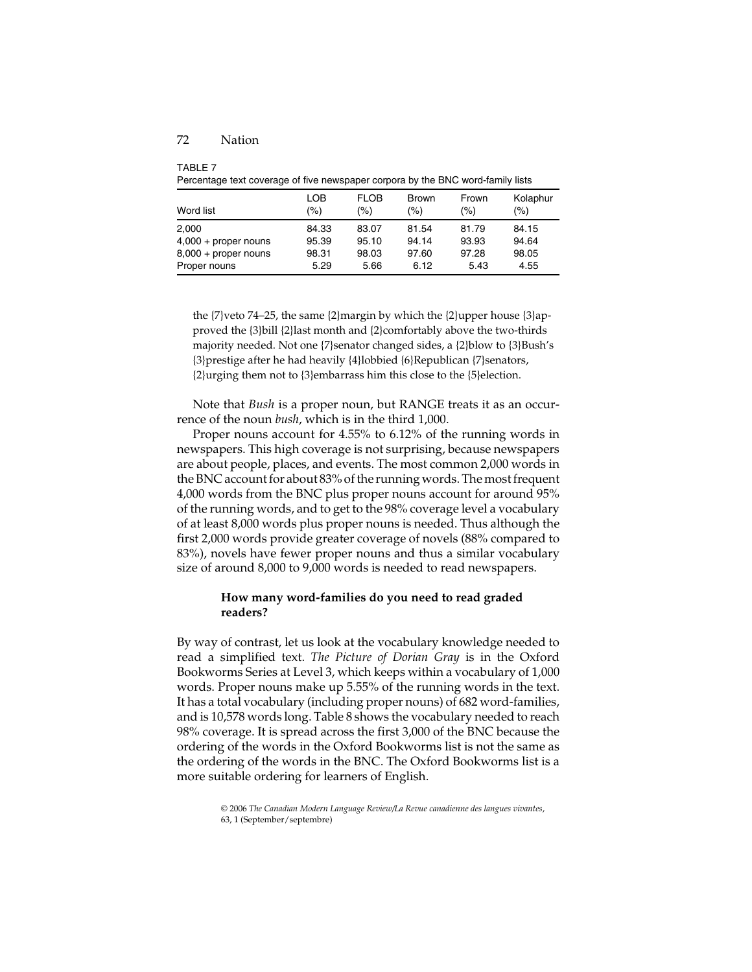TABLE 7

| Percentage text coverage of five newspaper corpora by the BNC word-family lists |            |                    |                     |              |                 |  |
|---------------------------------------------------------------------------------|------------|--------------------|---------------------|--------------|-----------------|--|
| Word list                                                                       | LOB<br>(%) | <b>FLOB</b><br>(%) | <b>Brown</b><br>(%) | Frown<br>(%) | Kolaphur<br>(%) |  |
| 2.000                                                                           | 84.33      | 83.07              | 81.54               | 81.79        | 84.15           |  |
| $4,000 +$ proper nouns                                                          | 95.39      | 95.10              | 94.14               | 93.93        | 94.64           |  |
| $8,000 +$ proper nouns                                                          | 98.31      | 98.03              | 97.60               | 97.28        | 98.05           |  |
| Proper nouns                                                                    | 5.29       | 5.66               | 6.12                | 5.43         | 4.55            |  |

Percentage text coverage of five newspaper corpora by the BNC word-family lists

the  $\{7\}$ veto 74–25, the same  $\{2\}$ margin by which the  $\{2\}$ upper house  $\{3\}$ approved the {3}bill {2}last month and {2}comfortably above the two-thirds majority needed. Not one {7}senator changed sides, a {2}blow to {3}Bush's {3}prestige after he had heavily {4}lobbied {6}Republican {7}senators, {2}urging them not to {3}embarrass him this close to the {5}election.

Note that *Bush* is a proper noun, but RANGE treats it as an occurrence of the noun *bush*, which is in the third 1,000.

Proper nouns account for 4.55% to 6.12% of the running words in newspapers. This high coverage is not surprising, because newspapers are about people, places, and events. The most common 2,000 words in the BNC account for about 83% of the running words. The most frequent 4,000 words from the BNC plus proper nouns account for around 95% of the running words, and to get to the 98% coverage level a vocabulary of at least 8,000 words plus proper nouns is needed. Thus although the first 2,000 words provide greater coverage of novels (88% compared to 83%), novels have fewer proper nouns and thus a similar vocabulary size of around 8,000 to 9,000 words is needed to read newspapers.

# **How many word-families do you need to read graded readers?**

By way of contrast, let us look at the vocabulary knowledge needed to read a simplified text. *The Picture of Dorian Gray* is in the Oxford Bookworms Series at Level 3, which keeps within a vocabulary of 1,000 words. Proper nouns make up 5.55% of the running words in the text. It has a total vocabulary (including proper nouns) of 682 word-families, and is 10,578 words long. Table 8 shows the vocabulary needed to reach 98% coverage. It is spread across the first 3,000 of the BNC because the ordering of the words in the Oxford Bookworms list is not the same as the ordering of the words in the BNC. The Oxford Bookworms list is a more suitable ordering for learners of English.

<sup>© 2006</sup> *The Canadian Modern Language Review/La Revue canadienne des langues vivantes*, 63, 1 (September/septembre)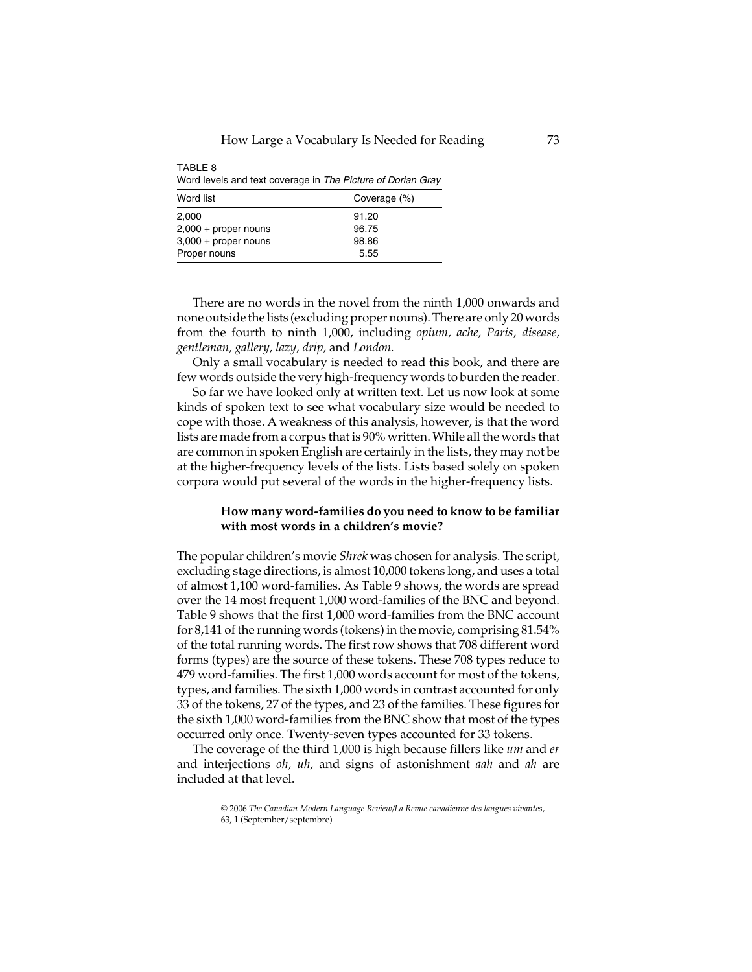| TABLE 8<br>Word levels and text coverage in The Picture of Dorian Gray |              |  |  |
|------------------------------------------------------------------------|--------------|--|--|
| Word list                                                              | Coverage (%) |  |  |
| 2,000                                                                  | 91.20        |  |  |
| $2,000 +$ proper nouns                                                 | 96.75        |  |  |
| $3,000 +$ proper nouns                                                 | 98.86        |  |  |
| Proper nouns                                                           | 5.55         |  |  |

There are no words in the novel from the ninth 1,000 onwards and none outside the lists (excluding proper nouns). There are only 20 words from the fourth to ninth 1,000, including *opium, ache, Paris, disease, gentleman, gallery, lazy, drip,* and *London.*

Only a small vocabulary is needed to read this book, and there are few words outside the very high-frequency words to burden the reader.

So far we have looked only at written text. Let us now look at some kinds of spoken text to see what vocabulary size would be needed to cope with those. A weakness of this analysis, however, is that the word lists are made from a corpus that is 90% written. While all the words that are common in spoken English are certainly in the lists, they may not be at the higher-frequency levels of the lists. Lists based solely on spoken corpora would put several of the words in the higher-frequency lists.

# **How many word-families do you need to know to be familiar with most words in a children's movie?**

The popular children's movie *Shrek* was chosen for analysis. The script, excluding stage directions, is almost 10,000 tokens long, and uses a total of almost 1,100 word-families. As Table 9 shows, the words are spread over the 14 most frequent 1,000 word-families of the BNC and beyond. Table 9 shows that the first 1,000 word-families from the BNC account for 8,141 of the running words (tokens) in the movie, comprising 81.54% of the total running words. The first row shows that 708 different word forms (types) are the source of these tokens. These 708 types reduce to 479 word-families. The first 1,000 words account for most of the tokens, types, and families. The sixth 1,000 words in contrast accounted for only 33 of the tokens, 27 of the types, and 23 of the families. These figures for the sixth 1,000 word-families from the BNC show that most of the types occurred only once. Twenty-seven types accounted for 33 tokens.

The coverage of the third 1,000 is high because fillers like *um* and *er* and interjections *oh, uh,* and signs of astonishment *aah* and *ah* are included at that level.

<sup>© 2006</sup> *The Canadian Modern Language Review/La Revue canadienne des langues vivantes*, 63, 1 (September/septembre)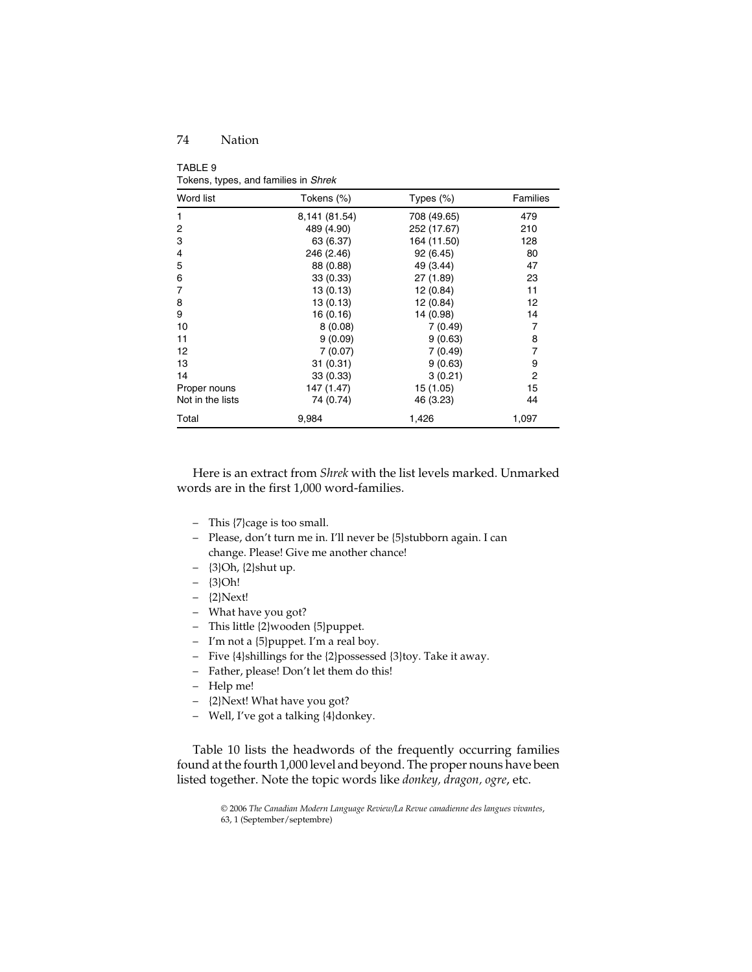TABLE 9 Tokens, types, and families in *Shrek*

| Word list        | Tokens (%)    | Types $(\%)$ | Families |
|------------------|---------------|--------------|----------|
| 1                | 8,141 (81.54) | 708 (49.65)  | 479      |
| 2                | 489 (4.90)    | 252 (17.67)  | 210      |
| 3                | 63 (6.37)     | 164 (11.50)  | 128      |
| 4                | 246 (2.46)    | 92 (6.45)    | 80       |
| 5                | 88 (0.88)     | 49 (3.44)    | 47       |
| 6                | 33(0.33)      | 27 (1.89)    | 23       |
| 7                | 13(0.13)      | 12 (0.84)    | 11       |
| 8                | 13(0.13)      | 12 (0.84)    | 12       |
| 9                | 16(0.16)      | 14 (0.98)    | 14       |
| 10               | 8(0.08)       | 7(0.49)      | 7        |
| 11               | 9(0.09)       | 9(0.63)      | 8        |
| 12               | 7(0.07)       | 7(0.49)      | 7        |
| 13               | 31(0.31)      | 9(0.63)      | 9        |
| 14               | 33(0.33)      | 3(0.21)      | 2        |
| Proper nouns     | 147 (1.47)    | 15 (1.05)    | 15       |
| Not in the lists | 74 (0.74)     | 46 (3.23)    | 44       |
| Total            | 9,984         | 1,426        | 1,097    |

Here is an extract from *Shrek* with the list levels marked. Unmarked words are in the first 1,000 word-families.

- This {7}cage is too small.
- Please, don't turn me in. I'll never be {5}stubborn again. I can change. Please! Give me another chance!
- {3}Oh, {2}shut up.
- {3}Oh!
- {2}Next!
- What have you got?
- This little {2}wooden {5}puppet.
- I'm not a {5}puppet. I'm a real boy.
- Five {4}shillings for the {2}possessed {3}toy. Take it away.
- Father, please! Don't let them do this!
- Help me!
- {2}Next! What have you got?
- Well, I've got a talking {4}donkey.

Table 10 lists the headwords of the frequently occurring families found at the fourth 1,000 level and beyond. The proper nouns have been listed together. Note the topic words like *donkey, dragon, ogre*, etc.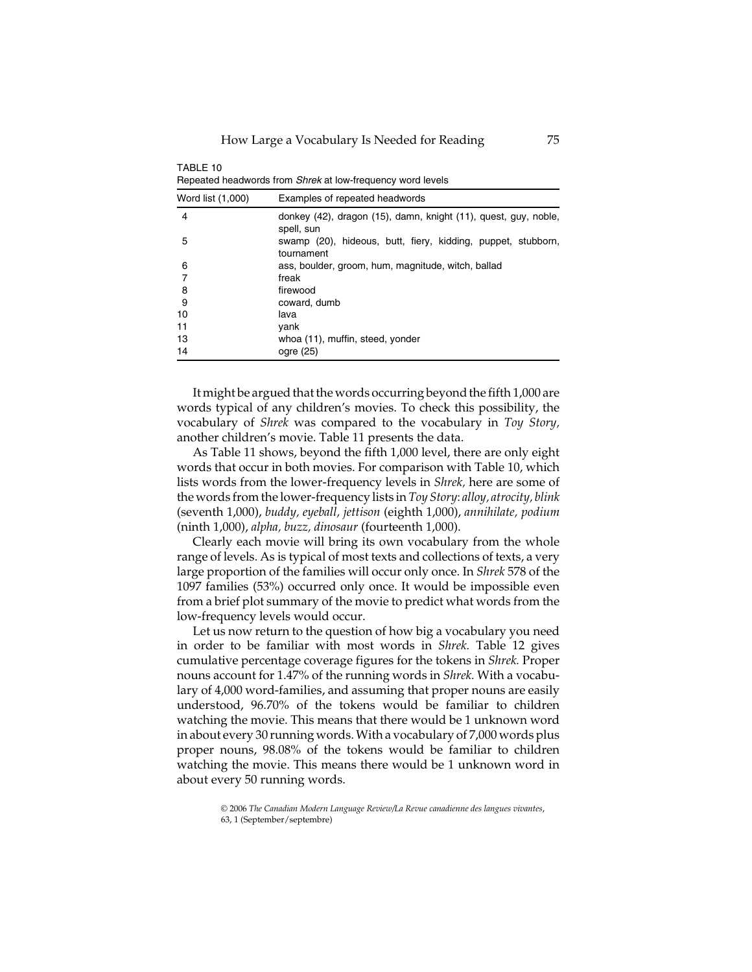|                   | Repeated headwords from Shrek at low-frequency word levels                    |
|-------------------|-------------------------------------------------------------------------------|
| Word list (1,000) | Examples of repeated headwords                                                |
| 4                 | donkey (42), dragon (15), damn, knight (11), quest, guy, noble,<br>spell, sun |
| 5                 | swamp (20), hideous, butt, fiery, kidding, puppet, stubborn,<br>tournament    |
| 6                 | ass, boulder, groom, hum, magnitude, witch, ballad                            |
| 7                 | freak                                                                         |
| 8                 | firewood                                                                      |
| 9                 | coward, dumb                                                                  |
| 10                | lava                                                                          |
| 11                | yank                                                                          |
| 13                | whoa (11), muffin, steed, yonder                                              |
| 14                | ogre (25)                                                                     |

TABLE 10

It might be argued that the words occurring beyond the fifth 1,000 are words typical of any children's movies. To check this possibility, the vocabulary of *Shrek* was compared to the vocabulary in *Toy Story,* another children's movie. Table 11 presents the data.

As Table 11 shows, beyond the fifth 1,000 level, there are only eight words that occur in both movies. For comparison with Table 10, which lists words from the lower-frequency levels in *Shrek,* here are some of the words from the lower-frequency lists in *Toy Story*: *alloy, atrocity, blink* (seventh 1,000), *buddy, eyeball, jettison* (eighth 1,000), *annihilate, podium* (ninth 1,000), *alpha, buzz, dinosaur* (fourteenth 1,000).

Clearly each movie will bring its own vocabulary from the whole range of levels. As is typical of most texts and collections of texts, a very large proportion of the families will occur only once. In *Shrek* 578 of the 1097 families (53%) occurred only once. It would be impossible even from a brief plot summary of the movie to predict what words from the low-frequency levels would occur.

Let us now return to the question of how big a vocabulary you need in order to be familiar with most words in *Shrek.* Table 12 gives cumulative percentage coverage figures for the tokens in *Shrek.* Proper nouns account for 1.47% of the running words in *Shrek.* With a vocabulary of 4,000 word-families, and assuming that proper nouns are easily understood, 96.70% of the tokens would be familiar to children watching the movie. This means that there would be 1 unknown word in about every 30 running words. With a vocabulary of 7,000 words plus proper nouns, 98.08% of the tokens would be familiar to children watching the movie. This means there would be 1 unknown word in about every 50 running words.

<sup>© 2006</sup> *The Canadian Modern Language Review/La Revue canadienne des langues vivantes*, 63, 1 (September/septembre)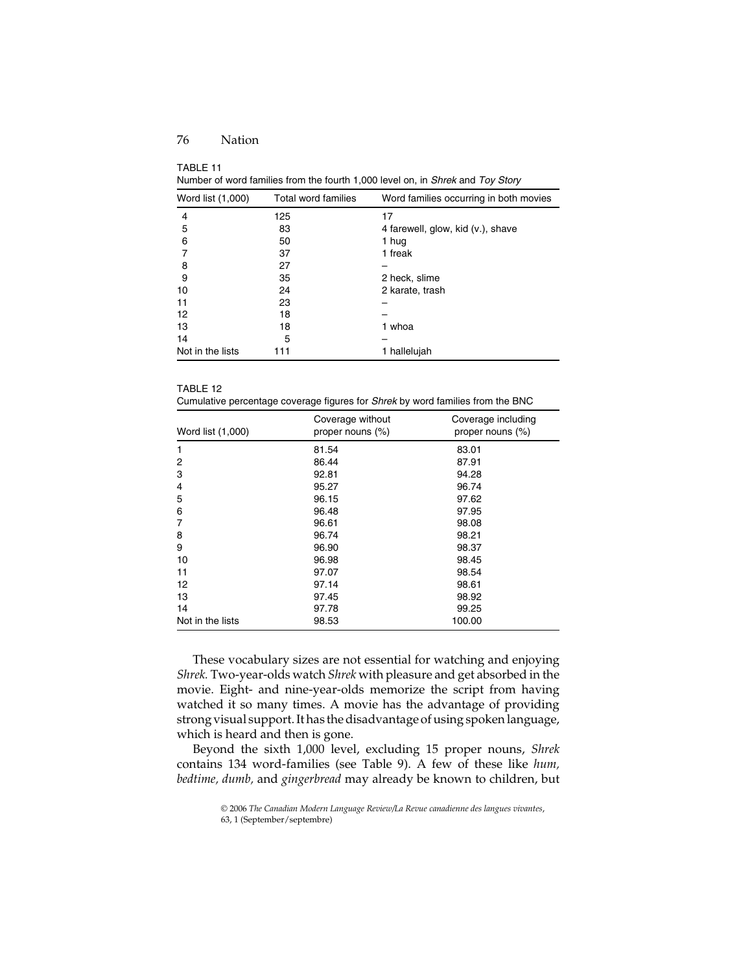| TABLE 11                                                                       |  |
|--------------------------------------------------------------------------------|--|
| Number of word families from the fourth 1,000 level on, in Shrek and Toy Story |  |

| Word list (1,000) | Total word families | Word families occurring in both movies |
|-------------------|---------------------|----------------------------------------|
| 4                 | 125                 | 17                                     |
| 5                 | 83                  | 4 farewell, glow, kid (v.), shave      |
| 6                 | 50                  | 1 hug                                  |
|                   | 37                  | 1 freak                                |
| 8                 | 27                  |                                        |
| 9                 | 35                  | 2 heck, slime                          |
| 10                | 24                  | 2 karate, trash                        |
| 11                | 23                  |                                        |
| 12                | 18                  |                                        |
| 13                | 18                  | 1 whoa                                 |
| 14                | 5                   |                                        |
| Not in the lists  | 111                 | 1 hallelujah                           |

| TABLE 12                                                                              |  |  |
|---------------------------------------------------------------------------------------|--|--|
| Cumulative percentage coverage figures for <i>Shrek</i> by word families from the BNC |  |  |

| Word list (1,000) | Coverage without<br>proper nouns (%) | Coverage including<br>proper nouns (%) |
|-------------------|--------------------------------------|----------------------------------------|
| 1                 | 81.54                                | 83.01                                  |
| 2                 | 86.44                                | 87.91                                  |
| 3                 | 92.81                                | 94.28                                  |
| 4                 | 95.27                                | 96.74                                  |
| 5                 | 96.15                                | 97.62                                  |
| 6                 | 96.48                                | 97.95                                  |
| 7                 | 96.61                                | 98.08                                  |
| 8                 | 96.74                                | 98.21                                  |
| 9                 | 96.90                                | 98.37                                  |
| 10                | 96.98                                | 98.45                                  |
| 11                | 97.07                                | 98.54                                  |
| 12                | 97.14                                | 98.61                                  |
| 13                | 97.45                                | 98.92                                  |
| 14                | 97.78                                | 99.25                                  |
| Not in the lists  | 98.53                                | 100.00                                 |

These vocabulary sizes are not essential for watching and enjoying *Shrek.* Two-year-olds watch *Shrek* with pleasure and get absorbed in the movie. Eight- and nine-year-olds memorize the script from having watched it so many times. A movie has the advantage of providing strong visual support. It has the disadvantage of using spoken language, which is heard and then is gone.

Beyond the sixth 1,000 level, excluding 15 proper nouns, *Shrek* contains 134 word-families (see Table 9). A few of these like *hum, bedtime, dumb,* and *gingerbread* may already be known to children, but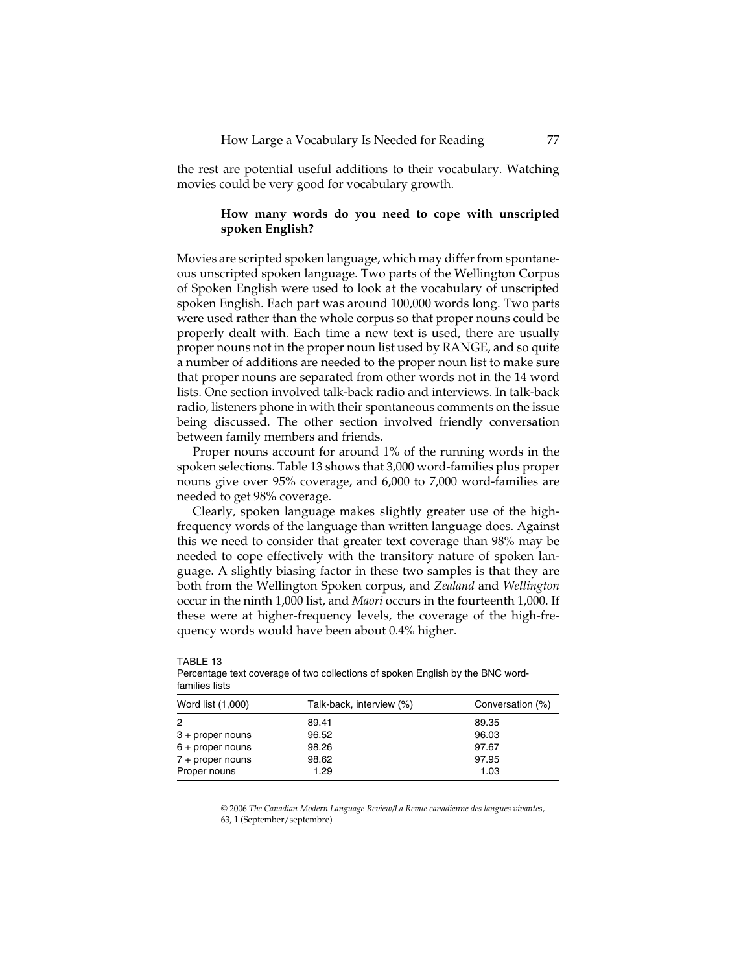the rest are potential useful additions to their vocabulary. Watching movies could be very good for vocabulary growth.

# **How many words do you need to cope with unscripted spoken English?**

Movies are scripted spoken language, which may differ from spontaneous unscripted spoken language. Two parts of the Wellington Corpus of Spoken English were used to look at the vocabulary of unscripted spoken English. Each part was around 100,000 words long. Two parts were used rather than the whole corpus so that proper nouns could be properly dealt with. Each time a new text is used, there are usually proper nouns not in the proper noun list used by RANGE, and so quite a number of additions are needed to the proper noun list to make sure that proper nouns are separated from other words not in the 14 word lists. One section involved talk-back radio and interviews. In talk-back radio, listeners phone in with their spontaneous comments on the issue being discussed. The other section involved friendly conversation between family members and friends.

Proper nouns account for around 1% of the running words in the spoken selections. Table 13 shows that 3,000 word-families plus proper nouns give over 95% coverage, and 6,000 to 7,000 word-families are needed to get 98% coverage.

Clearly, spoken language makes slightly greater use of the highfrequency words of the language than written language does. Against this we need to consider that greater text coverage than 98% may be needed to cope effectively with the transitory nature of spoken language. A slightly biasing factor in these two samples is that they are both from the Wellington Spoken corpus, and *Zealand* and *Wellington* occur in the ninth 1,000 list, and *Maori* occurs in the fourteenth 1,000. If these were at higher-frequency levels, the coverage of the high-frequency words would have been about 0.4% higher.

| Word list (1,000)  | Talk-back, interview (%) | Conversation (%) |
|--------------------|--------------------------|------------------|
| 2                  | 89.41                    | 89.35            |
| $3 +$ proper nouns | 96.52                    | 96.03            |
| $6 +$ proper nouns | 98.26                    | 97.67            |
| $7 +$ proper nouns | 98.62                    | 97.95            |
| Proper nouns       | 1.29                     | 1.03             |

TABLE 13 Percentage text coverage of two collections of spoken English by the BNC wordfamilies lists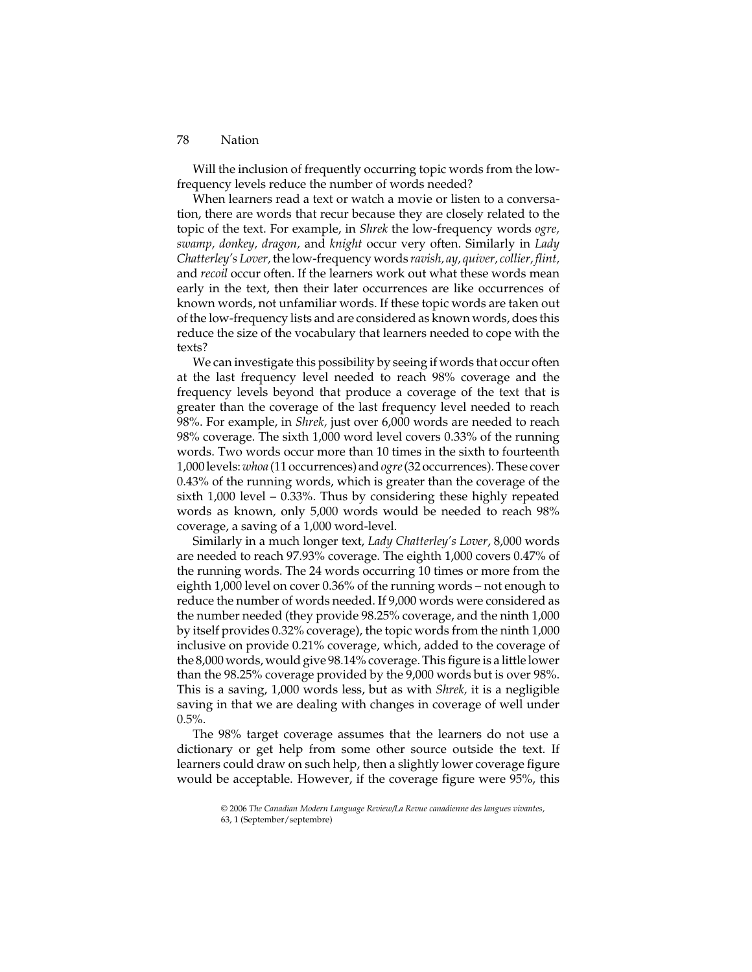Will the inclusion of frequently occurring topic words from the lowfrequency levels reduce the number of words needed?

When learners read a text or watch a movie or listen to a conversation, there are words that recur because they are closely related to the topic of the text. For example, in *Shrek* the low-frequency words *ogre, swamp, donkey, dragon,* and *knight* occur very often. Similarly in *Lady Chatterley's Lover,* the low-frequency words *ravish, ay, quiver, collier, flint,* and *recoil* occur often. If the learners work out what these words mean early in the text, then their later occurrences are like occurrences of known words, not unfamiliar words. If these topic words are taken out of the low-frequency lists and are considered as known words, does this reduce the size of the vocabulary that learners needed to cope with the texts?

We can investigate this possibility by seeing if words that occur often at the last frequency level needed to reach 98% coverage and the frequency levels beyond that produce a coverage of the text that is greater than the coverage of the last frequency level needed to reach 98%. For example, in *Shrek,* just over 6,000 words are needed to reach 98% coverage. The sixth 1,000 word level covers 0.33% of the running words. Two words occur more than 10 times in the sixth to fourteenth 1,000 levels: *whoa* (11 occurrences) and *ogre* (32 occurrences). These cover 0.43% of the running words, which is greater than the coverage of the sixth 1,000 level – 0.33%. Thus by considering these highly repeated words as known, only 5,000 words would be needed to reach 98% coverage, a saving of a 1,000 word-level.

Similarly in a much longer text, *Lady Chatterley's Lover*, 8,000 words are needed to reach 97.93% coverage. The eighth 1,000 covers 0.47% of the running words. The 24 words occurring 10 times or more from the eighth 1,000 level on cover 0.36% of the running words – not enough to reduce the number of words needed. If 9,000 words were considered as the number needed (they provide 98.25% coverage, and the ninth 1,000 by itself provides 0.32% coverage), the topic words from the ninth 1,000 inclusive on provide 0.21% coverage, which, added to the coverage of the 8,000 words, would give 98.14% coverage. This figure is a little lower than the 98.25% coverage provided by the 9,000 words but is over 98%. This is a saving, 1,000 words less, but as with *Shrek,* it is a negligible saving in that we are dealing with changes in coverage of well under  $0.5%$ 

The 98% target coverage assumes that the learners do not use a dictionary or get help from some other source outside the text. If learners could draw on such help, then a slightly lower coverage figure would be acceptable. However, if the coverage figure were 95%, this

<sup>© 2006</sup> *The Canadian Modern Language Review/La Revue canadienne des langues vivantes*, 63, 1 (September/septembre)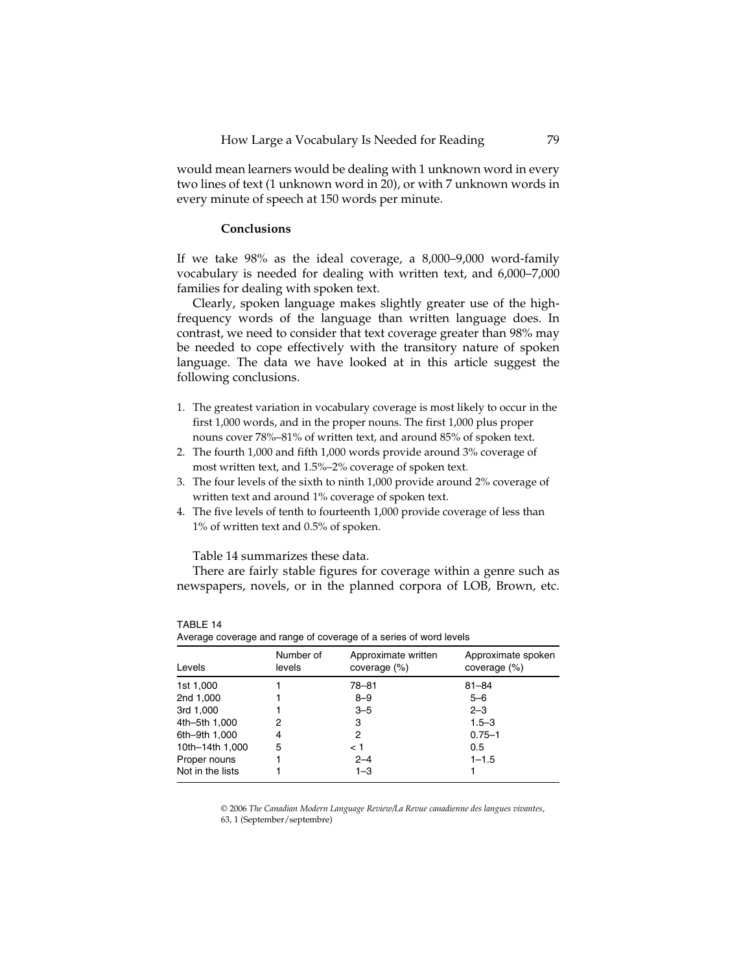would mean learners would be dealing with 1 unknown word in every two lines of text (1 unknown word in 20), or with 7 unknown words in every minute of speech at 150 words per minute.

# **Conclusions**

If we take 98% as the ideal coverage, a 8,000–9,000 word-family vocabulary is needed for dealing with written text, and 6,000–7,000 families for dealing with spoken text.

Clearly, spoken language makes slightly greater use of the highfrequency words of the language than written language does. In contrast, we need to consider that text coverage greater than 98% may be needed to cope effectively with the transitory nature of spoken language. The data we have looked at in this article suggest the following conclusions.

- 1. The greatest variation in vocabulary coverage is most likely to occur in the first 1,000 words, and in the proper nouns. The first 1,000 plus proper nouns cover 78%–81% of written text, and around 85% of spoken text.
- 2. The fourth 1,000 and fifth 1,000 words provide around 3% coverage of most written text, and 1.5%–2% coverage of spoken text.
- 3. The four levels of the sixth to ninth 1,000 provide around 2% coverage of written text and around 1% coverage of spoken text.
- 4. The five levels of tenth to fourteenth 1,000 provide coverage of less than 1% of written text and 0.5% of spoken.

Table 14 summarizes these data.

 $\blacksquare$ 

There are fairly stable figures for coverage within a genre such as newspapers, novels, or in the planned corpora of LOB, Brown, etc.

| Levels           | Number of<br>levels | Approximate written<br>coverage $(\%)$ | Approximate spoken<br>coverage $(\%)$ |
|------------------|---------------------|----------------------------------------|---------------------------------------|
| 1st 1,000        |                     | 78-81                                  | $81 - 84$                             |
| 2nd 1,000        |                     | $8 - 9$                                | $5 - 6$                               |
| 3rd 1,000        |                     | $3 - 5$                                | $2 - 3$                               |
| 4th-5th 1,000    | 2                   | з                                      | $1.5 - 3$                             |
| 6th-9th 1,000    | 4                   | 2                                      | $0.75 - 1$                            |
| 10th-14th 1,000  | 5                   | < 1                                    | 0.5                                   |
| Proper nouns     |                     | $2 - 4$                                | $1 - 1.5$                             |
| Not in the lists |                     | $1 - 3$                                |                                       |

| TABLE 14                                                          |  |  |
|-------------------------------------------------------------------|--|--|
| Average coverage and range of coverage of a series of word levels |  |  |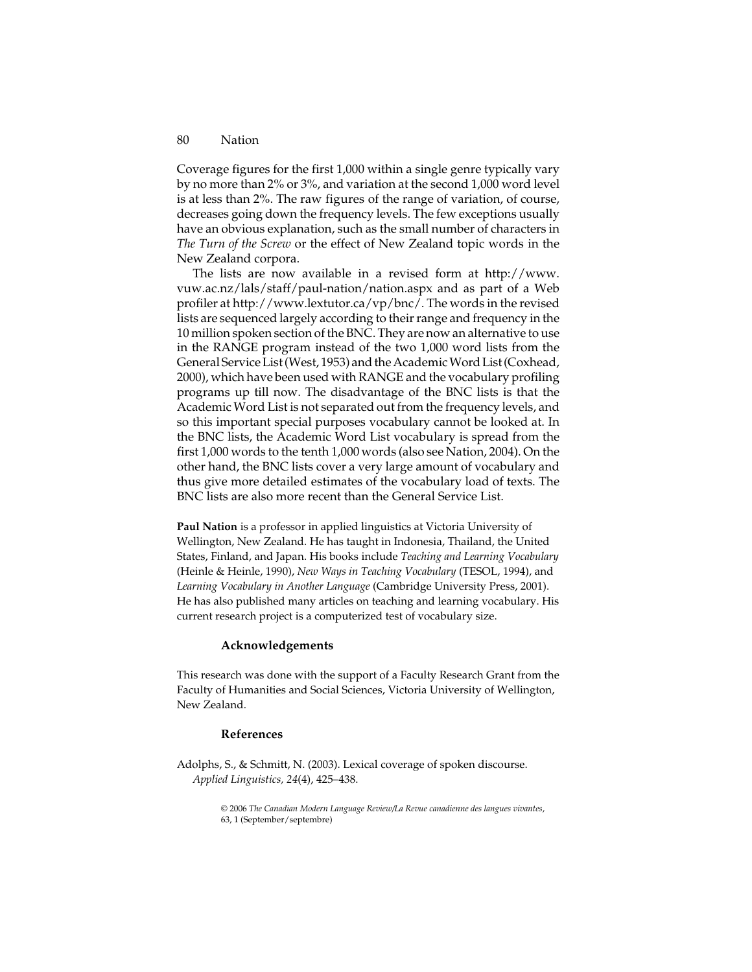Coverage figures for the first 1,000 within a single genre typically vary by no more than 2% or 3%, and variation at the second 1,000 word level is at less than 2%. The raw figures of the range of variation, of course, decreases going down the frequency levels. The few exceptions usually have an obvious explanation, such as the small number of characters in *The Turn of the Screw* or the effect of New Zealand topic words in the New Zealand corpora.

The lists are now available in a revised form at http://www. vuw.ac.nz/lals/staff/paul-nation/nation.aspx and as part of a Web profiler at http://www.lextutor.ca/vp/bnc/. The words in the revised lists are sequenced largely according to their range and frequency in the 10 million spoken section of the BNC. They are now an alternative to use in the RANGE program instead of the two 1,000 word lists from the General Service List (West, 1953) and the Academic Word List (Coxhead, 2000), which have been used with RANGE and the vocabulary profiling programs up till now. The disadvantage of the BNC lists is that the Academic Word List is not separated out from the frequency levels, and so this important special purposes vocabulary cannot be looked at. In the BNC lists, the Academic Word List vocabulary is spread from the first 1,000 words to the tenth 1,000 words (also see Nation, 2004). On the other hand, the BNC lists cover a very large amount of vocabulary and thus give more detailed estimates of the vocabulary load of texts. The BNC lists are also more recent than the General Service List.

**Paul Nation** is a professor in applied linguistics at Victoria University of Wellington, New Zealand. He has taught in Indonesia, Thailand, the United States, Finland, and Japan. His books include *Teaching and Learning Vocabulary* (Heinle & Heinle, 1990), *New Ways in Teaching Vocabulary* (TESOL, 1994), and *Learning Vocabulary in Another Language* (Cambridge University Press, 2001). He has also published many articles on teaching and learning vocabulary. His current research project is a computerized test of vocabulary size.

#### **Acknowledgements**

This research was done with the support of a Faculty Research Grant from the Faculty of Humanities and Social Sciences, Victoria University of Wellington, New Zealand.

#### **References**

Adolphs, S., & Schmitt, N. (2003). Lexical coverage of spoken discourse. *Applied Linguistics, 24*(4), 425–438.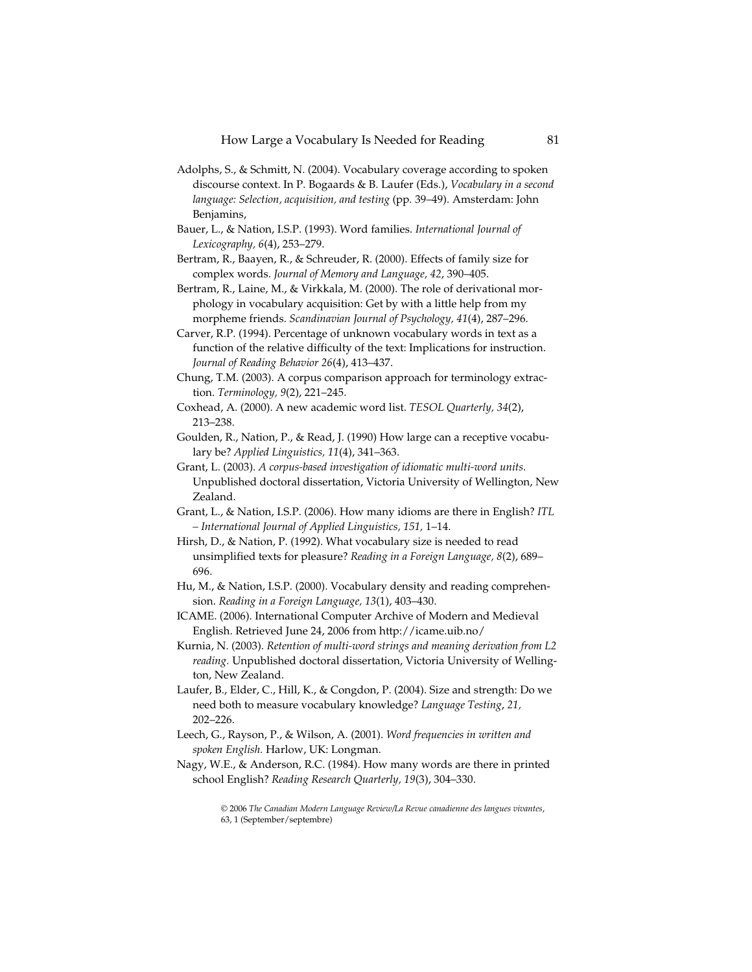- Adolphs, S., & Schmitt, N. (2004). Vocabulary coverage according to spoken discourse context. In P. Bogaards & B. Laufer (Eds.), *Vocabulary in a second language: Selection, acquisition, and testing* (pp*.* 39–49). Amsterdam: John Benjamins,
- Bauer, L., & Nation, I.S.P. (1993). Word families. *International Journal of Lexicography, 6*(4), 253–279.
- Bertram, R., Baayen, R., & Schreuder, R. (2000). Effects of family size for complex words. *Journal of Memory and Language, 42*, 390–405.
- Bertram, R., Laine, M., & Virkkala, M. (2000). The role of derivational morphology in vocabulary acquisition: Get by with a little help from my morpheme friends. *Scandinavian Journal of Psychology, 41*(4), 287–296.
- Carver, R.P. (1994). Percentage of unknown vocabulary words in text as a function of the relative difficulty of the text: Implications for instruction. *Journal of Reading Behavior 26*(4), 413–437.
- Chung, T.M. (2003). A corpus comparison approach for terminology extraction. *Terminology, 9*(2), 221–245.
- Coxhead, A. (2000). A new academic word list. *TESOL Quarterly, 34*(2), 213–238.
- Goulden, R., Nation, P., & Read, J. (1990) How large can a receptive vocabulary be? *Applied Linguistics, 11*(4), 341–363.
- Grant, L. (2003). *A corpus-based investigation of idiomatic multi-word units*. Unpublished doctoral dissertation, Victoria University of Wellington, New Zealand.
- Grant, L., & Nation, I.S.P. (2006). How many idioms are there in English? *ITL – International Journal of Applied Linguistics, 151,* 1–14.
- Hirsh, D., & Nation, P. (1992). What vocabulary size is needed to read unsimplified texts for pleasure? *Reading in a Foreign Language, 8*(2), 689– 696.
- Hu, M., & Nation, I.S.P. (2000). Vocabulary density and reading comprehension. *Reading in a Foreign Language, 13*(1), 403–430.
- ICAME. (2006). International Computer Archive of Modern and Medieval English. Retrieved June 24, 2006 from http://icame.uib.no/
- Kurnia, N. (2003). *Retention of multi-word strings and meaning derivation from L2 reading.* Unpublished doctoral dissertation, Victoria University of Wellington, New Zealand.
- Laufer, B., Elder, C., Hill, K., & Congdon, P. (2004). Size and strength: Do we need both to measure vocabulary knowledge? *Language Testing*, *21,* 202–226.
- Leech, G., Rayson, P., & Wilson, A. (2001). *Word frequencies in written and spoken English.* Harlow, UK: Longman.
- Nagy, W.E., & Anderson, R.C. (1984). How many words are there in printed school English? *Reading Research Quarterly, 19*(3), 304–330.